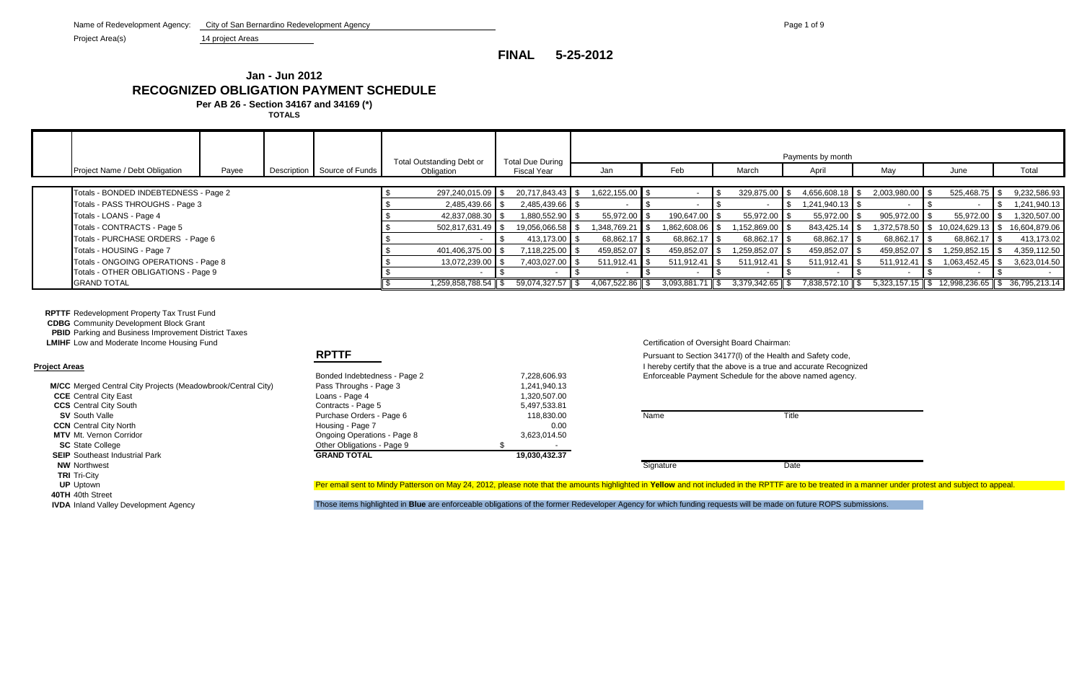Project Area(s) 14 project Areas

**RPTTF** Redevelopment Property Tax Trust Fund

**CDBG** Community Development Block Grant

**PBID** Parking and Business Improvement District Taxes

|                                       |       |                             | Total Outstanding Debt or | <b>Total Due During</b> |                   |                   |                   | Payments by month |                          |                                                  |               |
|---------------------------------------|-------|-----------------------------|---------------------------|-------------------------|-------------------|-------------------|-------------------|-------------------|--------------------------|--------------------------------------------------|---------------|
| Project Name / Debt Obligation        | Payee | Description Source of Funds | Obligation                | Fiscal Year             | Jan               | Feb               | March             | April             | May                      | June                                             | Total         |
|                                       |       |                             |                           |                         |                   |                   |                   |                   |                          |                                                  |               |
| Totals - BONDED INDEBTEDNESS - Page 2 |       |                             | 297,240,015.09 \$         | 20,717,843.43 \$        | $1,622,155.00$ \$ |                   | $329,875.00$ \$   | 4,656,608.18 \$   | 2,003,980.00 \$          | $525,468.75$ \$                                  | 9,232,586.93  |
| Totals - PASS THROUGHS - Page 3       |       |                             | 2,485,439.66 \$           | 2,485,439.66 \$         |                   |                   |                   | 1,241,940.13 \$   |                          |                                                  | 1,241,940.13  |
| Totals - LOANS - Page 4               |       |                             | 42,837,088.30 \$          | 1,880,552.90 \$         | 55,972.00 \$      | 190,647.00 \$     | $55,972.00$ \$    | 55,972.00 \       | $905,972.00$ \$          | 55,972.00 \$                                     | 1,320,507.00  |
| Totals - CONTRACTS - Page 5           |       |                             | 502,817,631.49 \$         | 19,056,066.58 \$        | 1,348,769.21 \$   | 1,862,608.06 \$   | $,152,869.00$ \$  | 843,425.14        | 1,372,578.50 \$          | 10,024,629.13                                    | 16,604,879.06 |
| Totals - PURCHASE ORDERS - Page 6     |       |                             |                           | 413,173.00 \$           | 68,862.17 \$      | 68,862.17 \$      | 68,862.17 \$      | 68,862.17         | 68,862.17 \$             | 68,862.17                                        | 413,173.02    |
| Totals - HOUSING - Page 7             |       |                             | 401,406,375.00 \$         | 7,118,225.00 \$         | 459,852.07 \$     | 459,852.07 \$     | 1,259,852.07 \$   | 459,852.07        | 459,852.07 \$            | 1,259,852.15                                     | 4,359,112.50  |
| Totals - ONGOING OPERATIONS - Page 8  |       |                             | 13,072,239.00 \$          | 7,403,027.00 \$         | $511,912.41$ \$   | $511,912.41$ \$   | $511,912.41$ \$   | 511,912.41        | $511,912.41$ $\sqrt{\ }$ | 1,063,452.45                                     | 3,623,014.50  |
| Totals - OTHER OBLIGATIONS - Page 9   |       |                             |                           |                         |                   |                   |                   |                   |                          |                                                  |               |
| <b>GRAND TOTAL</b>                    |       |                             | 1,259,858,788.54 \$       | 59,074,327.57 \$        | 4,067,522.86 \$   | $3,093,881.71$ \$ | $3,379,342.65$ \$ | 7,838,572.10 \$   |                          | $5,323,157.15$ \$ 12,998,236.65 \$ 36,795,213.14 |               |

| <b>M/CC</b> Merged Central City Projects (Meadowbrook/Central City) | Pass Throughs - Page 3      | 1,241,940.13                                                                                                                               |           |       |
|---------------------------------------------------------------------|-----------------------------|--------------------------------------------------------------------------------------------------------------------------------------------|-----------|-------|
| <b>CCE</b> Central City East                                        | Loans - Page 4              | 1,320,507.00                                                                                                                               |           |       |
| <b>CCS</b> Central City South                                       | Contracts - Page 5          | 5,497,533.81                                                                                                                               |           |       |
| <b>SV</b> South Valle                                               | Purchase Orders - Page 6    | 118,830.00                                                                                                                                 | Name      | Title |
| <b>CCN</b> Central City North                                       | Housing - Page 7            | 0.00                                                                                                                                       |           |       |
| <b>MTV</b> Mt. Vernon Corridor                                      | Ongoing Operations - Page 8 | 3,623,014.50                                                                                                                               |           |       |
| <b>SC</b> State College                                             | Other Obligations - Page 9  |                                                                                                                                            |           |       |
| <b>SEIP</b> Southeast Industrial Park                               | <b>GRAND TOTAL</b>          | 19,030,432.37                                                                                                                              |           |       |
| <b>NW Northwest</b>                                                 |                             |                                                                                                                                            | Signature | Date  |
| <b>TRI</b> Tri-City                                                 |                             |                                                                                                                                            |           |       |
| <b>UP</b> Uptown                                                    |                             | Per email sent to Mindy Patterson on May 24, 2012, please note that the amounts highlighted in Yellow and not included in the RPTTF are    |           |       |
| 40TH 40th Street                                                    |                             |                                                                                                                                            |           |       |
| <b>IVDA</b> Inland Valley Development Agency                        |                             | Those items bigplighted in Rlue are enforceable obligations of the former Redeveloper Agency for which funding requests will be made on fr |           |       |

| FUL AI CAS                                                   |                              |               | Thereby centry that the above is a true and a |          |
|--------------------------------------------------------------|------------------------------|---------------|-----------------------------------------------|----------|
|                                                              | Bonded Indebtedness - Page 2 | 7,228,606.93  | Enforceable Payment Schedule for the above    |          |
| M/CC Merged Central City Projects (Meadowbrook/Central City) | Pass Throughs - Page 3       | 1,241,940.13  |                                               |          |
| <b>CCE</b> Central City East                                 | Loans - Page 4               | 1,320,507.00  |                                               |          |
| <b>CCS</b> Central City South                                | Contracts - Page 5           | 5,497,533.81  |                                               |          |
| <b>SV</b> South Valle                                        | Purchase Orders - Page 6     | 118,830,00    | Name                                          | Title    |
| <b>CCN</b> Central City North                                | Housing - Page 7             | 0.00          |                                               |          |
| <b>MTV</b> Mt. Vernon Corridor                               | Ongoing Operations - Page 8  | 3,623,014.50  |                                               |          |
| <b>SC</b> State College                                      | Other Obligations - Page 9   |               |                                               |          |
| <b>SEIP</b> Southeast Industrial Park                        | <b>GRAND TOTAL</b>           | 19,030,432.37 |                                               |          |
| <b>MIM Northwoot</b>                                         |                              |               | Cianation                                     | $D_{0}+$ |

**LMIHF** Low and Moderate Income Housing Fund Certification of Oversight Board Chairman:

**RPTTF** Pursuant to Section 34177(I) of the Health and Safety code, **Project Areas** I hereby certify that the above is a true and accurate Recognized Enforceable Payment Schedule for the above named agency.

Per email sent to Mindy Patterson on May 24, 2012, please note that the amounts highlighted in Yellow and not included in the RPTTF are to be treated in a manner under protest and subject to appeal.

IVDA Inland Valley Development Agency **Those items highlighted in Blue** are enforceable obligations of the former Redeveloper Agency for which funding requests will be made on future ROPS submissions.

**FINAL 5-25-2012**

# **Jan - Jun 2012 RECOGNIZED OBLIGATION PAYMENT SCHEDULE**

**Per AB 26 - Section 34167 and 34169 (\*)**

**TOTALS**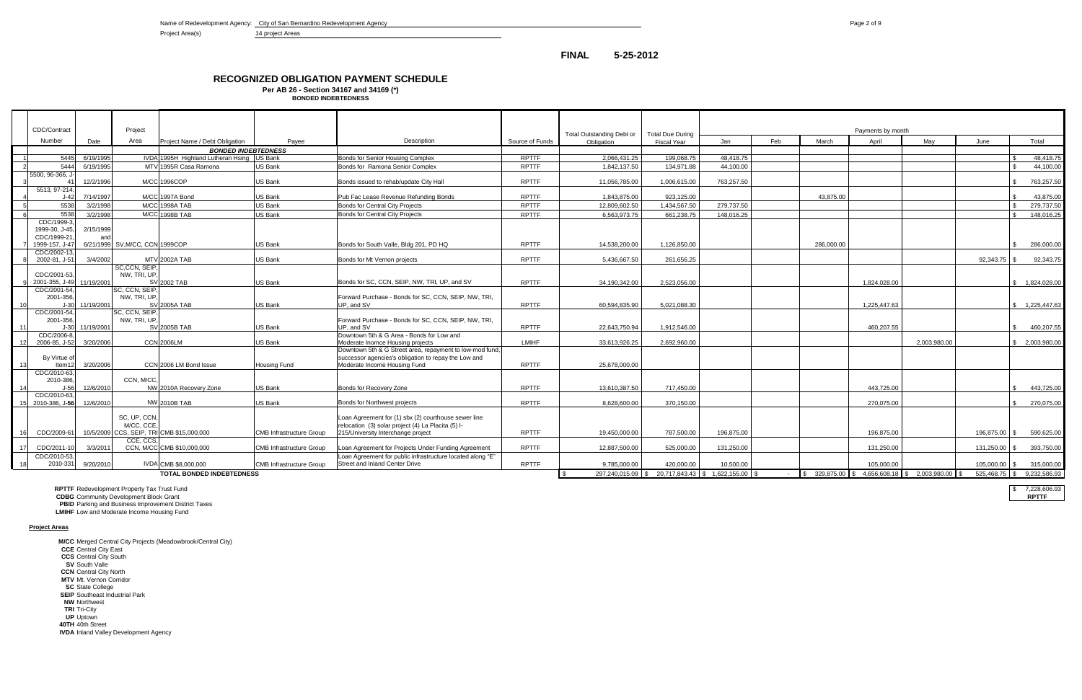Name of Redevelopment Agency: City of San Bernardino Redevelopment Agency **Page 2 of 9** Page 2 of 9

Project Area(s) 14 project Areas

**PBID** Parking and Business Improvement District Taxes **LMIHF** Low and Moderate Income Housing Fund

|                | CDC/Contract                  |            | Project                         |                                            |                                 |                                                                                                                  |                 | <b>Total Outstanding Debt or</b> | <b>Total Due During</b>                            |            |     |                                                          | Payments by month |              |               |                                  |
|----------------|-------------------------------|------------|---------------------------------|--------------------------------------------|---------------------------------|------------------------------------------------------------------------------------------------------------------|-----------------|----------------------------------|----------------------------------------------------|------------|-----|----------------------------------------------------------|-------------------|--------------|---------------|----------------------------------|
|                | Number                        | Date       | Area                            | Project Name / Debt Obligation             | Pavee                           | Description                                                                                                      | Source of Funds | Obligation                       | <b>Fiscal Year</b>                                 | Jan        | Feb | March                                                    | April             | Mav          | June          | Total                            |
|                |                               |            |                                 | <b>BONDED INDEBTEDNESS</b>                 |                                 |                                                                                                                  |                 |                                  |                                                    |            |     |                                                          |                   |              |               |                                  |
|                | 5445                          | 6/19/1995  |                                 | IVDA 1995H Highland Lutheran Hsing US Bank |                                 | Bonds for Senior Housing Complex                                                                                 | <b>RPTTF</b>    | 2.066.431.25                     | 199.068.75                                         | 48.418.75  |     |                                                          |                   |              |               | 48.418.75                        |
| $\overline{2}$ | 5444                          | 6/19/1995  |                                 | MTV 1995R Casa Ramona                      | <b>US Bank</b>                  | Bonds for Ramona Senior Complex                                                                                  | <b>RPTTF</b>    | 1.842.137.50                     | 134.971.88                                         | 44.100.00  |     |                                                          |                   |              |               | 44.100.00                        |
|                | 5500, 96-366, J-              | 12/2/1996  |                                 | M/CC 1996COP                               | US Bank                         | Bonds issued to rehab/update City Hall                                                                           | <b>RPTTF</b>    | 11.056.785.00                    | 1.006.615.00                                       | 763.257.50 |     |                                                          |                   |              |               | 763.257.50                       |
|                | 5513, 97-214,<br>$J-42$       | 7/14/1997  |                                 | M/CC 1997A Bond                            | US Bank                         | Pub Fac Lease Revenue Refunding Bonds                                                                            | <b>RPTTF</b>    | 1,843,875.00                     | 923,125.00                                         |            |     | 43,875.00                                                |                   |              |               | 43,875.00<br><b>¢</b>            |
|                | 5538                          | 3/2/1998   |                                 | <b>M/CC 1998A TAB</b>                      | US Bank                         | Bonds for Central City Projects                                                                                  | <b>RPTTF</b>    | 12.809.602.50                    | 1.434.567.50                                       | 279.737.50 |     |                                                          |                   |              |               | 279,737.50                       |
|                | 5538                          | 3/2/1998   |                                 | M/CC 1998B TAB                             | <b>US Bank</b>                  | Bonds for Central City Projects                                                                                  | <b>RPTTF</b>    | 6.563.973.75                     | 661.238.75                                         | 148.016.25 |     |                                                          |                   |              |               | 148.016.25                       |
|                | CDC/1999-3<br>1999-30, J-45   | 2/15/1999  |                                 |                                            |                                 |                                                                                                                  |                 |                                  |                                                    |            |     |                                                          |                   |              |               |                                  |
|                | CDC/1999-21                   |            |                                 |                                            |                                 |                                                                                                                  |                 |                                  |                                                    |            |     |                                                          |                   |              |               |                                  |
|                | 1999-157. J-41<br>CDC/2002-13 |            | 6/21/1999 SV, M/CC, CCN 1999COP |                                            | US Bank                         | Bonds for South Valle, Bldg 201, PD HQ                                                                           | <b>RPTTF</b>    | 14.538.200.00                    | 1.126.850.00                                       |            |     | 286.000.00                                               |                   |              |               | 286.000.00<br>$\hat{\mathbf{S}}$ |
|                | 2002-81, J-51                 | 3/4/2002   |                                 | <b>MTV 2002A TAB</b>                       | <b>US Bank</b>                  | Bonds for Mt Vernon projects                                                                                     | <b>RPTTF</b>    | 5,436,667.50                     | 261,656.25                                         |            |     |                                                          |                   |              | 92,343.75 \$  | 92,343.75                        |
|                | CDC/2001-53                   |            | SC,CCN, SEIP,<br>NW, TRI, UP,   |                                            |                                 |                                                                                                                  |                 |                                  |                                                    |            |     |                                                          |                   |              |               |                                  |
|                | 2001-355. J-49                | 11/19/2001 |                                 | <b>SV 2002 TAB</b>                         | US Bank                         | Bonds for SC, CCN, SEIP, NW, TRI, UP, and SV                                                                     | <b>RPTTF</b>    | 34.190.342.00                    | 2.523.056.00                                       |            |     |                                                          | 1.824.028.00      |              |               | \$1.824.028.00                   |
|                | CDC/2001-54                   |            | SC, CCN, SEIP,                  |                                            |                                 |                                                                                                                  |                 |                                  |                                                    |            |     |                                                          |                   |              |               |                                  |
|                | 2001-356                      |            | NW. TRI. UP.                    |                                            |                                 | Forward Purchase - Bonds for SC, CCN, SEIP, NW, TRI.                                                             |                 |                                  |                                                    |            |     |                                                          |                   |              |               |                                  |
|                | $J-30$                        | 11/19/2001 |                                 | <b>SV 2005A TAB</b>                        | US Bank                         | UP, and SV                                                                                                       | <b>RPTTF</b>    | 60.594.835.90                    | 5.021.088.30                                       |            |     |                                                          | 1.225.447.63      |              |               | \$1.225.447.63                   |
|                | CDC/2001-54<br>2001-356       |            | SC, CCN, SEIP,<br>NW, TRI, UP,  |                                            |                                 | Forward Purchase - Bonds for SC, CCN, SEIP, NW, TRI.                                                             |                 |                                  |                                                    |            |     |                                                          |                   |              |               |                                  |
| - 11 I         | $J-30$                        | 11/19/2001 |                                 | <b>SV 2005B TAB</b>                        | US Bank                         | UP, and SV                                                                                                       | <b>RPTTF</b>    | 22,643,750.94                    | 1,912,546.00                                       |            |     |                                                          | 460.207.55        |              |               | $\mathbb{S}$<br>460,207.55       |
|                | CDC/2006-8                    |            |                                 |                                            |                                 | Downtown 5th & G Area - Bonds for Low and                                                                        |                 |                                  |                                                    |            |     |                                                          |                   |              |               |                                  |
|                | 2006-85, J-52                 | 3/20/2006  |                                 | <b>CCN 2006LM</b>                          | US Bank                         | Moderate Inomce Housing projects                                                                                 | LMIHF           | 33,613,926.25                    | 2,692,960.00                                       |            |     |                                                          |                   | 2,003,980.00 |               | \$2,003,980.00                   |
|                | By Virtue o                   |            |                                 |                                            |                                 | Downtown 5th & G Street area, repayment to low-mod fund,<br>successor agencies's obligation to repay the Low and |                 |                                  |                                                    |            |     |                                                          |                   |              |               |                                  |
| 13             | Item12                        | 3/20/2006  |                                 | CCN 2006 LM Bond Issue                     | <b>Housing Fund</b>             | Moderate Income Housing Fund                                                                                     | <b>RPTTF</b>    | 25.678.000.00                    |                                                    |            |     |                                                          |                   |              |               |                                  |
|                | CDC/2010-63<br>2010-386       |            | CCN, M/CC,                      |                                            |                                 |                                                                                                                  |                 |                                  |                                                    |            |     |                                                          |                   |              |               |                                  |
| 14             |                               | 12/6/2010  |                                 | NW 2010A Recovery Zone                     | US Bank                         | Bonds for Recovery Zone                                                                                          | <b>RPTTF</b>    | 13.610.387.50                    | 717.450.00                                         |            |     |                                                          | 443.725.00        |              |               | 443.725.00                       |
|                | CDC/2010-63                   |            |                                 |                                            |                                 |                                                                                                                  |                 |                                  |                                                    |            |     |                                                          |                   |              |               |                                  |
|                | 15 2010-386. J-56             | 12/6/2010  |                                 | <b>NW 2010B TAB</b>                        | US Bank                         | Bonds for Northwest projects                                                                                     | <b>RPTTF</b>    | 8.628.600.00                     | 370.150.00                                         |            |     |                                                          | 270.075.00        |              |               | 270.075.00<br>$\mathbf{\$}$      |
|                |                               |            | SC, UP, CCN,                    |                                            |                                 | Loan Agreement for (1) sbx (2) courthouse sewer line                                                             |                 |                                  |                                                    |            |     |                                                          |                   |              |               |                                  |
|                |                               |            | M/CC, CCE.                      |                                            |                                 | relocation (3) solar project (4) La Placita (5) I-                                                               |                 |                                  |                                                    |            |     |                                                          |                   |              |               |                                  |
|                | CDC/2009-61                   |            | CCE, CCS.                       | 10/5/2009 CCS, SEIP, TRICMB \$15,000,000   | <b>CMB Infrastructure Group</b> | 215/University Interchange project                                                                               | <b>RPTTF</b>    | 19.450.000.00                    | 787.500.00                                         | 196.875.00 |     |                                                          | 196.875.00        |              | 196.875.00 \$ | 590.625.00                       |
|                | CDC/2011-10                   | 3/3/2011   |                                 | CCN, M/CC CMB \$10,000,000                 | <b>CMB Infrastructure Group</b> | Loan Agreement for Projects Under Funding Agreement                                                              | <b>RPTTF</b>    | 12,887,500.00                    | 525.000.00                                         | 131,250.00 |     |                                                          | 131,250.00        |              | 131,250.00 \$ | 393,750.00                       |
|                | CDC/2010-53                   |            |                                 |                                            |                                 | Loan Agreement for public infrastructure located along "E"                                                       |                 |                                  |                                                    |            |     |                                                          |                   |              |               |                                  |
| 18             | 2010-331                      | 9/20/2010  |                                 | IVDA CMB \$8,000,000                       | <b>CMB Infrastructure Group</b> | <b>Street and Inland Center Drive</b>                                                                            | <b>RPTTF</b>    | 9.785.000.00                     | 420.000.00                                         | 10.500.00  |     |                                                          | 105.000.00        |              | 105,000.00 \$ | 315,000.00                       |
|                |                               |            |                                 | <b>TOTAL BONDED INDEBTEDNESS</b>           |                                 |                                                                                                                  |                 |                                  | 297,240,015.09 \$ 20,717,843.43 \$ 1,622,155.00 \$ |            |     | $-$ \\$ 329,875.00 \\$ 4,656,608.18 \\$ 2,003,980.00 \\$ |                   |              |               | 525.468.75 \ \$ 9.232.586.93     |
|                |                               |            |                                 |                                            |                                 |                                                                                                                  |                 |                                  |                                                    |            |     |                                                          |                   |              |               |                                  |

**RPTTF** Redevelopment Property Tax Trust Fund \$ 7,228,606.93

**CDBG** Community Development Block Grant **RPTTF**

**Project Areas**

**M/CC** Merged Central City Projects (Meadowbrook/Central City)

- **CCE** Central City East
- **CCS** Central City South

**SV** South Valle

**CCN** Central City North

**MTV** Mt. Vernon Corridor

**SC** State College

**SEIP** Southeast Industrial Park

**NW** Northwest

**TRI** Tri-City

**UP** Uptown **40TH** 40th Street

**IVDA** Inland Valley Development Agency

## **FINAL 5-25-2012**

**BONDED INDEBTEDNESS**

# **RECOGNIZED OBLIGATION PAYMENT SCHEDULE**

**Per AB 26 - Section 34167 and 34169 (\*)**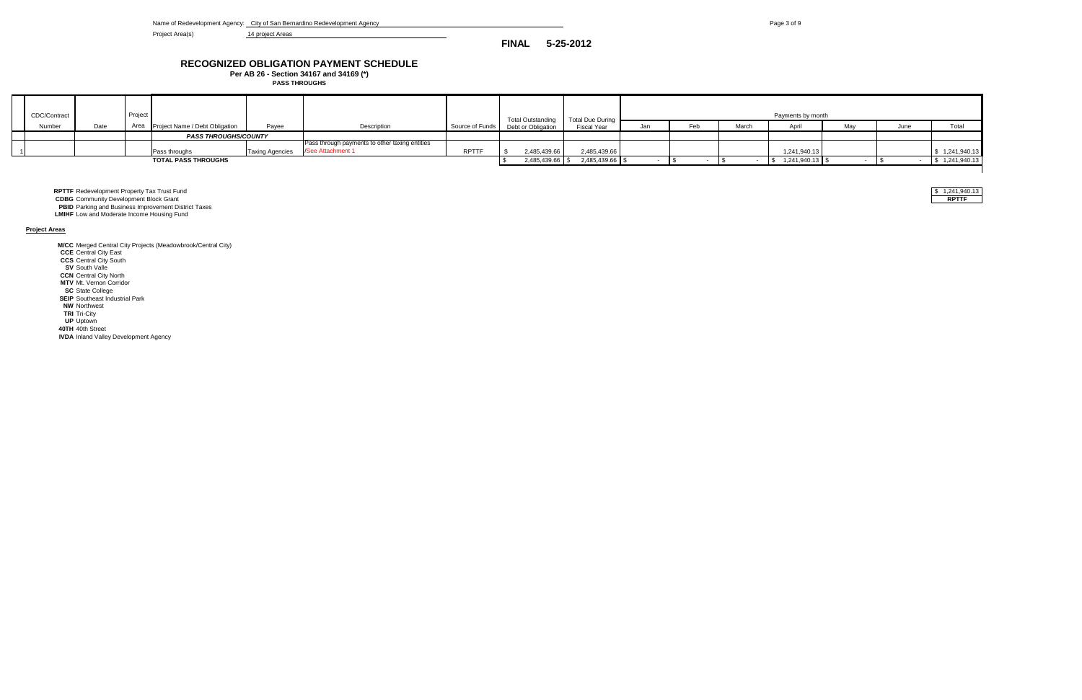Name of Redevelopment Agency: City of San Bernardino Redevelopment Agency **Page 3 of 9** Page 3 of 9

Project Area(s) 14 project Areas

# **RECOGNIZED OBLIGATION PAYMENT SCHEDULE**

| CDC/Contract |      | Project |                                     |                        |                                                |              | <b>Total Outstanding</b>           | <b>Total Due During</b> |     |     |       | Payments by month |     |      |                |
|--------------|------|---------|-------------------------------------|------------------------|------------------------------------------------|--------------|------------------------------------|-------------------------|-----|-----|-------|-------------------|-----|------|----------------|
| Number       | Date |         | Area Project Name / Debt Obligation | Payee                  | Description                                    |              | Source of Funds Debt or Obligation | <b>Fiscal Year</b>      | Jan | Feb | March | April             | May | June | Total          |
|              |      |         | <b>PASS THROUGHS/COUNTY</b>         |                        |                                                |              |                                    |                         |     |     |       |                   |     |      |                |
|              |      |         |                                     |                        | Pass through payments to other taxing entities |              |                                    |                         |     |     |       |                   |     |      |                |
|              |      |         | Pass throughs                       | <b>Taxing Agencies</b> | /See Attachment 1                              | <b>RPTTF</b> | 2,485,439.66                       | 2,485,439.66            |     |     |       | 1,241,940.13      |     |      | \$1,241,940.13 |
|              |      |         | <b>TOTAL PASS THROUGHS</b>          |                        |                                                |              | 2,485,439.66 \$                    | 2,485,439.66 \$         |     |     |       | 1,241,940.13 \$   |     |      | \$1,241,940.13 |
|              |      |         |                                     |                        |                                                |              |                                    |                         |     |     |       |                   |     |      |                |

**RPTTF** Redevelopment Property Tax Trust Fund \$ 1,241,940.13

**CDBG** Community Development Block Grant **RPTTF**

**Per AB 26 - Section 34167 and 34169 (\*) PASS THROUGHS**

**PBID** Parking and Business Improvement District Taxes

**LMIHF** Low and Moderate Income Housing Fund

**Project Areas**

**M/CC** Merged Central City Projects (Meadowbrook/Central City)

**CCE** Central City East

**CCS** Central City South

**SV** South Valle

**CCN** Central City North

**MTV** Mt. Vernon Corridor **SC** State College

**SEIP** Southeast Industrial Park

**NW** Northwest

**TRI** Tri-City

**UP** Uptown

**40TH** 40th Street

**IVDA** Inland Valley Development Agency

| 1.241.940.13<br>э |
|-------------------|
| .                 |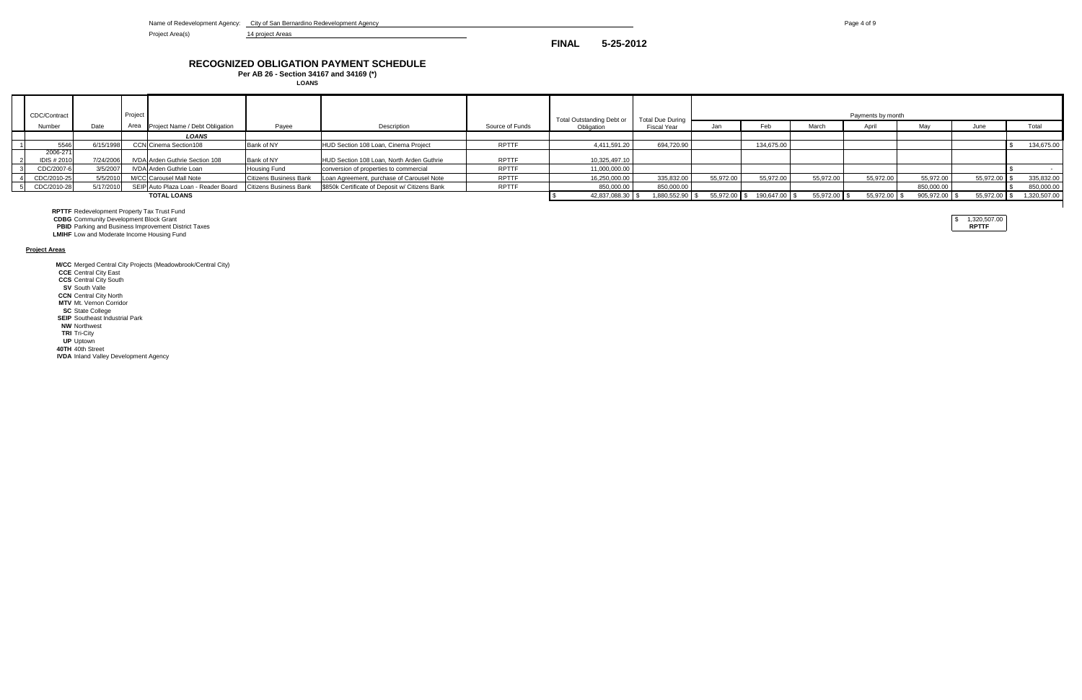Name of Redevelopment Agency: City of San Bernardino Redevelopment Agency **Page 4 of 9** Page 4 of 9

Project Area(s) 14 project Areas

| CDC/Contract                   |           | Project |                                     |                               |                                                |                 | Total Outstanding Debt or | <b>Total Due During</b> |              |               |              | Payments by month |               |              |              |
|--------------------------------|-----------|---------|-------------------------------------|-------------------------------|------------------------------------------------|-----------------|---------------------------|-------------------------|--------------|---------------|--------------|-------------------|---------------|--------------|--------------|
| Number                         | Date      |         | Area Project Name / Debt Obligation | Payee                         | Description                                    | Source of Funds | Obligation                | Fiscal Year             |              |               | March        |                   | Mav           | June         | Total        |
|                                |           |         | LOANS                               |                               |                                                |                 |                           |                         |              |               |              |                   |               |              |              |
| 5546                           | 6/15/1998 |         | <b>CCN</b> Cinema Section108        | Bank of NY                    | HUD Section 108 Loan, Cinema Project           | <b>RPTTF</b>    | 4,411,591.20              | 694,720.90              |              | 134,675.00    |              |                   |               |              | 134,675.00   |
| 2006-271<br><b>IDIS # 2010</b> | 7/24/2006 |         | IVDA Arden Guthrie Section 108      | Bank of NY                    | HUD Section 108 Loan, North Arden Guthrie      | <b>RPTTF</b>    | 10,325,497.10             |                         |              |               |              |                   |               |              |              |
| CDC/2007-6                     | 3/5/2007  |         | IVDA Arden Guthrie Loan             | <b>Housing Fund</b>           | conversion of properties to commercial         | <b>RPTTF</b>    | 11,000,000.00             |                         |              |               |              |                   |               |              |              |
| CDC/2010-25                    | 5/5/2010  |         | M/CC Carousel Mall Note             | Citizens Business Bank        | Loan Agreement, purchase of Carousel Note      | <b>RPTTF</b>    | 16,250,000.00             | 335.832.00              | 55.972.00    | 55,972.00     | 55,972.00    | 55,972.00         | 55,972.00     | 55,972.00 \$ | 335,832.00   |
| CDC/2010-28                    | 5/17/2010 |         | SEIP Auto Plaza Loan - Reader Board | <b>Citizens Business Bank</b> | \$850k Certificate of Deposit w/ Citizens Bank | <b>RPTTF</b>    | 850,000.00                | 850,000.00              |              |               |              |                   | 850,000.00    |              | 850,000.00   |
|                                |           |         | <b>TOTAL LOANS</b>                  |                               |                                                |                 | 42,837,088.30             | 1,880,552.90            | 55,972.00 \$ | 190,647.00 \$ | 55,972.00 \$ | 55,972.00 \$      | 905,972.00 \$ | 55,972.00 \$ | 1,320,507.00 |
|                                |           |         |                                     |                               |                                                |                 |                           |                         |              |               |              |                   |               |              |              |

**RPTTF** Redevelopment Property Tax Trust Fund

**CDBG** Community Development Block Grant  $\left| \begin{array}{c} \$ & 1,320,507.00 \end{array} \right|$ 

**PBID** Parking and Business Improvement District Taxes **RPTTF**

**LMIHF** Low and Moderate Income Housing Fund

**Project Areas**

**M/CC** Merged Central City Projects (Meadowbrook/Central City)

**CCE** Central City East

**CCS** Central City South

**SV** South Valle

**CCN** Central City North **MTV** Mt. Vernon Corridor

**SC** State College

**SEIP** Southeast Industrial Park

**NW** Northwest

**TRI** Tri-City

**UP** Uptown

**40TH** 40th Street

**IVDA** Inland Valley Development Agency

**FINAL 5-25-2012**

# **RECOGNIZED OBLIGATION PAYMENT SCHEDULE**

**Per AB 26 - Section 34167 and 34169 (\*) LOANS**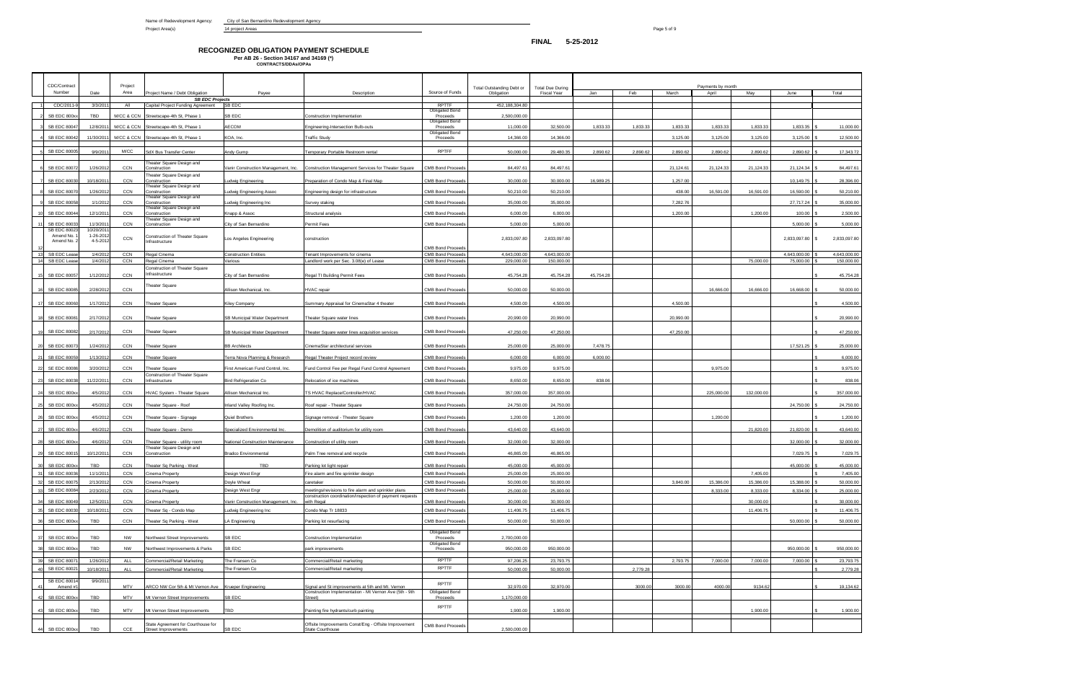# **RECOGNIZED OBLIGATION PAYMENT SCHEDULE Per AB 26 - Section 34167 and 34169 (\*) CONTRACTS/DDAs/OPAs**

|                      | CDC/Contract<br>Number | Date      | Project<br>Area | Project Name / Debt Obligation                             | Payee                                    | Description                                                                                                      | Source of Funds                   | Total Outstanding Debt or<br>Obligation | <b>Total Due During</b><br><b>Fiscal Year</b> | Jan       | Feb      | March     | Payments by month<br>April | May        | June         | Total              |
|----------------------|------------------------|-----------|-----------------|------------------------------------------------------------|------------------------------------------|------------------------------------------------------------------------------------------------------------------|-----------------------------------|-----------------------------------------|-----------------------------------------------|-----------|----------|-----------|----------------------------|------------|--------------|--------------------|
|                      |                        |           |                 | <b>SB EDC Projects</b>                                     |                                          |                                                                                                                  |                                   |                                         |                                               |           |          |           |                            |            |              |                    |
|                      | CDC/2011-              | 3/3/201   | All             | Capital Project Funding Agreement                          | SB EDC                                   |                                                                                                                  | RPTTF                             | 452,188,304.80                          |                                               |           |          |           |                            |            |              |                    |
|                      | SB EDC 800xx           | TBD       | M/CC & CCN      | Streetscape-4th St, Phase 1                                | <b>SB EDC</b>                            | Construction Implementation                                                                                      | Obligated Bond<br>Proceeds        | 2,500,000.00                            |                                               |           |          |           |                            |            |              |                    |
|                      |                        |           |                 |                                                            |                                          |                                                                                                                  | <b>Obligated Bond</b>             |                                         |                                               |           |          |           |                            |            |              |                    |
|                      | <b>SB EDC 80047</b>    | 12/8/2011 | M/CC & CCN      | Streetscape-4th St, Phase 1                                | AECOM                                    | Engineering-Intersection Bulb-outs                                                                               | Proceeds<br><b>Obligated Bond</b> | 11,000.00                               | 32,500.00                                     | 1,833.33  | 1,833.33 | 1,833.33  | 1,833.33                   | 1,833.33   | 1,833.35     | 11,000.00          |
|                      | <b>SB EDC 80042</b>    | 11/30/201 | M/CC & CCN      | Streetscape-4th St, Phase 1                                | KOA, Inc.                                | <b>Traffic Study</b>                                                                                             | Proceeds                          | 14,366.00                               | 14,366.00                                     |           |          | 3,125.00  | 3,125.00                   | 3,125.00   | 3,125.00     | 12,500.00          |
|                      |                        |           |                 |                                                            |                                          |                                                                                                                  |                                   |                                         |                                               |           |          |           |                            |            |              |                    |
|                      | SB EDC 80005           | 9/9/201   | M/CC            | SdX Bus Transfer Center                                    | Andy Gump                                | Temporary Portable Restroom rental                                                                               | <b>RPTFF</b>                      | 50,000,00                               | 29.480.35                                     | 2.890.62  | 2.890.62 | 2.890.62  | 2,890.62                   | 2.890.62   | 2.890.62     | 17,343.72          |
|                      |                        |           |                 | heater Square Design and                                   |                                          |                                                                                                                  |                                   |                                         |                                               |           |          |           |                            |            |              |                    |
|                      | SB EDC 8007:           | 1/26/201  | <b>CCN</b>      | Construction<br>Theater Square Design and                  | /anir Construction Management, Inc.      | Construction Management Services for Theater Square                                                              | <b>CMB Bond Proceeds</b>          | 84,497.61                               | 84,497.61                                     |           |          | 21,124.61 | 21,124.33                  | 21,124.33  | 21,124.34    | 84,497.61          |
|                      | SB EDC 80030           | 10/18/201 | CCN             | Construction                                               | udwig Engineering                        | Preparation of Condo Map & Final Map                                                                             | <b>CMB Bond Proceeds</b>          | 30,000.00                               | 30,000.00                                     | 16,989.25 |          | 1,257.00  |                            |            | 10,149.75    | 28,396.00          |
|                      | SB EDC 80070           | 1/26/201  | CCN             | Theater Square Design and<br>Construction                  | udwig Engineering Assoc.                 |                                                                                                                  | CMB Bond Proceeds                 | 50,210.00                               | 50,210.00                                     |           |          | 438.00    | 16,591.00                  | 16,591.00  | 16,590.00    | 50,210.00          |
|                      |                        |           |                 | Theater Square Design and                                  |                                          | Engineering design for infrastructure                                                                            |                                   |                                         |                                               |           |          |           |                            |            |              |                    |
|                      | <b>SB EDC 80058</b>    | 1/1/201   | CCN             | Construction<br>heater Square Design and                   | udwig Engineering Inc                    | Survey staking                                                                                                   | <b>CMB Bond Proceeds</b>          | 35,000.00                               | 35,000.00                                     |           |          | 7,282.76  |                            |            | 27,717.24    | 35,000.00          |
|                      | <b>SB EDC 80044</b>    | 12/1/201  | CCN             | Construction                                               | Knapp & Assoc                            | Structural analysis                                                                                              | <b>CMB Bond Proceeds</b>          | 6,000.00                                | 6,000.00                                      |           |          | 1,200.00  |                            | 1,200.00   | 100.00       | 2,500.00           |
|                      | SB EDC 8003            | 11/3/201  | CCN             | heater Square Design and<br>Construction                   | City of San Bernardino                   | Permit Fees                                                                                                      | <b>CMB Bond Proceeds</b>          | 5,000.00                                | 5,000.00                                      |           |          |           |                            |            | 5,000.00     | 5,000.00           |
|                      | SB EDC 80023           | 10/20/201 |                 |                                                            |                                          |                                                                                                                  |                                   |                                         |                                               |           |          |           |                            |            |              |                    |
|                      | Amend No.              | 1-26-201  | CCN             | Construction of Theater Square                             | Los Angeles Engineering                  | construction                                                                                                     |                                   | 2,833,097.80                            | 2,833,097.80                                  |           |          |           |                            |            | 2,833,097.80 | 2,833,097.80<br>£. |
|                      | Amend No. 2            | 4-5-201   |                 | Infrastructure                                             |                                          |                                                                                                                  | <b>CMB Bond Proceeds</b>          |                                         |                                               |           |          |           |                            |            |              |                    |
| $-1$ :               | SB EDC Lease           | 1/4/201   | CCN             | Regal Cinema                                               | Construction Entities                    | Tenant Improvements for cinema                                                                                   | <b>CMB Bond Proceeds</b>          | 4,643,000.00                            | 4,643,000.00                                  |           |          |           |                            |            | 4,643,000.00 | 4,643,000.00       |
|                      | SB EDC Lease           | 1/4/201   | CCN             | Regal Cinema                                               | Various                                  | andlord work per Sec. 3.08(e) of Lease                                                                           | CMB Bond Proceeds                 | 229,000.00                              | 150,000.00                                    |           |          |           |                            | 75,000.00  | 75,000.00    | 150,000.00         |
|                      |                        |           |                 | Construction of Theater Square                             |                                          |                                                                                                                  |                                   |                                         |                                               |           |          |           |                            |            |              |                    |
|                      | SB EDC 80057           | 1/12/201  | CCN             | Infrastructure                                             | City of San Bernardino                   | Regal TI Building Permit Fees                                                                                    | <b>CMB Bond Proceeds</b>          | 45,754.28                               | 45,754.28                                     | 45,754.28 |          |           |                            |            |              | 45,754.28          |
|                      |                        |           |                 | Theater Square                                             |                                          |                                                                                                                  |                                   |                                         |                                               |           |          |           |                            |            |              |                    |
|                      | SB EDC 80085           | 2/28/201  | CCN             |                                                            | Allison Mechanical, Inc.                 | HVAC repair                                                                                                      | <b>CMB Bond Proceeds</b>          | 50,000.00                               | 50,000.00                                     |           |          |           | 16,666,00                  | 16,666.00  | 16,668.00    | 50,000.00          |
|                      | <b>SB EDC 80060</b>    | 1/17/201  | CCN             | <b>Theater Square</b>                                      | Kiley Company                            | Summary Appraisal for CinemaStar 4 theater                                                                       | <b>CMB Bond Proceeds</b>          | 4,500.00                                | 4,500.00                                      |           |          | 4,500.00  |                            |            |              | 4,500.00           |
|                      |                        |           |                 |                                                            |                                          |                                                                                                                  |                                   |                                         |                                               |           |          |           |                            |            |              |                    |
|                      | SB EDC 80081           | 2/17/2012 | CCN             | <b>Theater Square</b>                                      | <b>SB Municipal Water Department</b>     | Theater Square water lines                                                                                       | <b>CMB Bond Proceeds</b>          | 20,990.00                               | 20,990.00                                     |           |          | 20,990.00 |                            |            |              | 20,990.00          |
|                      |                        |           |                 |                                                            |                                          |                                                                                                                  |                                   |                                         |                                               |           |          |           |                            |            |              |                    |
|                      | SB EDC 80082           | 2/17/201  | CCN             | <b>Theater Square</b>                                      | SB Municipal Water Department            | Theater Square water lines acquisition services                                                                  | <b>CMB Bond Proceeds</b>          | 47,250.00                               | 47,250.00                                     |           |          | 47,250.00 |                            |            |              | 47,250.00          |
|                      |                        |           |                 |                                                            |                                          |                                                                                                                  |                                   |                                         |                                               |           |          |           |                            |            |              |                    |
|                      | SB EDC 80073           | 1/24/201  | CCN             | <b>Theater Square</b>                                      | <b>BB Architects</b>                     | CinemaStar architectural services                                                                                | <b>CMB Bond Proceeds</b>          | 25,000.00                               | 25,000.00                                     | 7,478.75  |          |           |                            |            | 17,521.25    | 25,000.00          |
| 21                   | SB EDC 80059           | 1/13/2012 | CCN             | <b>Theater Square</b>                                      | erra Nova Planning & Research            | Regal Theater Project record review                                                                              | <b>CMB Bond Proceeds</b>          | 6,000.00                                | 6,000.00                                      | 6,000.00  |          |           |                            |            |              | 6,000.00           |
|                      |                        |           |                 |                                                            |                                          |                                                                                                                  |                                   |                                         |                                               |           |          |           |                            |            |              |                    |
|                      | <b>SE EDC 80086</b>    | 3/20/201  | CCN             | <b>Theater Square</b><br>Construction of Theater Square    | First American Fund Control, Inc.        | Fund Control Fee per Regal Fund Control Agreement                                                                | <b>CMB Bond Proceeds</b>          | 9,975.00                                | 9,975.00                                      |           |          |           | 9,975.00                   |            |              | 9,975.00           |
|                      | <b>SB EDC 80038</b>    | 11/22/201 | CCN             | Infrastructure                                             | <b>Bird Refrigeration Co</b>             | Relocation of ice machines                                                                                       | <b>CMB Bond Proceeds</b>          | 8,650.00                                | 8,650.00                                      | 838.06    |          |           |                            |            |              | 838.06             |
|                      |                        |           |                 |                                                            |                                          |                                                                                                                  |                                   |                                         |                                               |           |          |           |                            |            |              |                    |
|                      | SB EDC 800xx           | 4/5/201   | CCN             | HVAC System - Theater Square                               | Allison Mechanical Inc.                  | TS HVAC Replace/Controller/HVAC                                                                                  | <b>CMB Bond Proceeds</b>          | 357,000.00                              | 357,000.00                                    |           |          |           | 225,000.00                 | 132,000.00 |              | 357,000.00         |
| 25                   | SB EDC 800xx           | 4/5/2012  | <b>CCN</b>      | Theater Square - Roof                                      | nland Valley Roofing Inc.                | Roof repair - Theater Square                                                                                     | <b>CMB Bond Proceeds</b>          | 24,750.00                               | 24,750.00                                     |           |          |           |                            |            | 24,750.00    | 24,750.00          |
|                      |                        |           |                 |                                                            |                                          |                                                                                                                  |                                   |                                         |                                               |           |          |           |                            |            |              |                    |
|                      | SB EDC 800xx           | 4/5/201   | CCN             | Theater Square - Signage                                   | Quiel Brothers                           | Signage removal - Theater Square                                                                                 | <b>CMB Bond Proceeds</b>          | 1,200.00                                | 1,200.00                                      |           |          |           | 1,200.00                   |            |              | 1,200.00           |
|                      | SB EDC 800xx           | 4/6/201   | CCN             | Theater Square - Demo                                      | Specialized Environmental Inc.           | Demolition of auditorium for utility room                                                                        | <b>CMB Bond Proceeds</b>          | 43,640.00                               | 43,640.00                                     |           |          |           |                            | 21,820.00  | 21,820.00    | 43,640.00          |
|                      |                        |           |                 |                                                            |                                          |                                                                                                                  |                                   |                                         |                                               |           |          |           |                            |            |              |                    |
|                      | SB EDC 800xx           | 4/6/201   | CCN             | Theater Square - utility room<br>Theater Square Design and | <b>Vational Construction Maintenance</b> | Construction of utility room                                                                                     | <b>CMB Bond Proceeds</b>          | 32,000.00                               | 32,000.00                                     |           |          |           |                            |            | 32,000.00    | 32,000.00          |
|                      | SB EDC 80015           | 10/12/201 | CCN             | Construction                                               | <b>Iradco Environmental</b>              | Palm Tree removal and recycle                                                                                    | <b>CMB Bond Proceeds</b>          | 46,865.00                               | 46,865.00                                     |           |          |           |                            |            | 7,029.75     | 7,029.75           |
| 30                   | SB EDC 800xx           | TBD       | CCN             |                                                            | TBD                                      | Parking lot light repair                                                                                         | <b>CMB Bond Proceeds</b>          | 45,000.00                               | 45,000.00                                     |           |          |           |                            |            | 45,000.00    | 45,000.00<br>Ŝ.    |
|                      |                        |           |                 | Theater Sq Parking - West                                  |                                          |                                                                                                                  |                                   |                                         |                                               |           |          |           |                            |            |              |                    |
| $\mathbf{3}^{\circ}$ | SB EDC 80036           | 11/1/201  | CCN             | Cinema Property                                            | Design West Engr                         | Fire alarm and fire sprinkler design                                                                             | <b>CMB Bond Proceeds</b>          | 25,000.00                               | 25,000.00                                     |           |          |           |                            | 7,405.00   |              | 7,405.00           |
| $\mathbf{3}$         | <b>SB EDC 80075</b>    | 2/13/201  | CCN             | Cinema Property                                            | Ooyle Wheat                              | caretaker                                                                                                        | <b>CMB Bond Proceeds</b>          | 50,000.00                               | 50,000.00                                     |           |          | 3,840.00  | 15,386.00                  | 15,386.00  | 15,388.00    | 50,000.00          |
| 3 <sup>′</sup>       | <b>SB EDC 80084</b>    | 2/23/201  | CCN             | Cinema Property                                            | esign West Engr                          | meetings/revisions to fire alarm and sprinkler plans<br>construction coordination/inspection of payment requests | <b>CMB Bond Proceeds</b>          | 25,000.00                               | 25,000.00                                     |           |          |           | 8,333.00                   | 8,333.00   | 8,334.00     | 25,000.00          |
| - 34                 | SB EDC 80049           | 12/5/201  | CCN             | Cinema Property                                            | /anir Construction Management, Inc.      | with Regal                                                                                                       | CMB Bond Proceeds                 | 30,000.00                               | 30,000.00                                     |           |          |           |                            | 30,000.00  |              | 30,000.00          |
|                      | <b>SB EDC 80030</b>    | 10/18/201 | CCN             | Theater Sq - Condo Map                                     | udwig Engineering Inc                    | Condo Map Tr 18833                                                                                               | <b>CMB Bond Proceeds</b>          | 11,406.75                               | 11,406.75                                     |           |          |           |                            | 11,406.75  |              | 11,406.75          |
|                      |                        |           |                 |                                                            |                                          |                                                                                                                  |                                   |                                         |                                               |           |          |           |                            |            |              |                    |
| 36                   | SB EDC 800xx           | TBD       | CCN             | Theater Sq Parking - West                                  | A Engineering                            | Parking lot resurfacing                                                                                          | CMB Bond Proceeds                 | 50,000.00                               | 50,000.00                                     |           |          |           |                            |            | 50,000.00    | 50,000.00          |
|                      |                        |           |                 |                                                            |                                          |                                                                                                                  | <b>Obligated Bond</b>             |                                         |                                               |           |          |           |                            |            |              |                    |
| 37                   | SB EDC 800xx           | TBD       | <b>NW</b>       | Northwest Street Improvements                              | SB EDC                                   | Construction Implementation                                                                                      | Proceeds<br><b>Obligated Bond</b> | 2,700,000.00                            |                                               |           |          |           |                            |            |              |                    |
|                      | SB EDC 800xx           | TBD       | <b>NW</b>       | Northwest Improvements & Parks                             | SB EDC                                   | park improvements                                                                                                | Proceeds                          | 950,000.00                              | 950,000.00                                    |           |          |           |                            |            | 950,000.00   | 950,000.00         |
| 39                   | <b>SB EDC 8007</b>     | 1/26/201  | ALL             | Commercial/Retail Marketing                                | The Fransen Co                           | Commercial/Retail marketing                                                                                      | RPTTF                             | 97,206.25                               | 23,793.75                                     |           |          | 2,793.75  | 7,000.00                   | 7,000.00   | 7,000.00     | 23,793.75          |
|                      |                        |           |                 |                                                            |                                          |                                                                                                                  | RPTTF                             |                                         | 50,000.00                                     |           |          |           |                            |            |              |                    |
|                      | <b>SB EDC 8002</b>     | 10/18/201 | ALL             | Commercial/Retail Marketing                                | he Fransen Co                            | Commercial/Retail marketing                                                                                      |                                   | 50,000.00                               |                                               |           | 2,779.28 |           |                            |            |              | 2,779.28           |
|                      | SB EDC 80014           | 9/9/201   |                 |                                                            |                                          |                                                                                                                  | RPTTF                             |                                         |                                               |           |          |           |                            |            |              |                    |
|                      | Amend#                 |           | MTV             | ARCO NW Cor 5th & Mt Vernon Ave                            | <b>Krueper Engineering</b>               | Signal and St improvements at 5th and Mt. Vernon<br>Construction Implementation - Mt Vernon Ave (5th - 9th       | <b>Obligated Bond</b>             | 32,970.00                               | 32,970.00                                     |           | 3000.00  | 3000.00   | 4000.00                    | 9134.62    |              | 19,134.62          |
|                      | SB EDC 800x:           | TBD       | <b>MTV</b>      | Mt Vernon Street Improvements                              | <b>B EDC</b>                             | Street)                                                                                                          | Proceeds                          | 1,170,000.00                            |                                               |           |          |           |                            |            |              |                    |
|                      |                        |           |                 |                                                            |                                          |                                                                                                                  | RPTTF                             |                                         |                                               |           |          |           |                            |            |              |                    |
|                      | SB EDC 800xx           | TBD       | MTV             | Mt Vernon Street Improvements                              | <b>TBD</b>                               | Painting fire hydrants/curb painting                                                                             |                                   | 1,900.00                                | 1,900.00                                      |           |          |           |                            | 1,900.00   |              | 1,900.00           |
|                      |                        |           |                 | State Agreement for Courthouse for                         |                                          | Offsite Improvements Const/Eng - Offsite Improvement                                                             | CMB Bond Proceeds                 |                                         |                                               |           |          |           |                            |            |              |                    |
|                      | SB EDC 800xx           | TBD       | CCE             | Street Improvements                                        | SB EDC                                   | <b>State Courthouse</b>                                                                                          |                                   | 2,500,000.00                            |                                               |           |          |           |                            |            |              |                    |
|                      |                        |           |                 |                                                            |                                          |                                                                                                                  |                                   |                                         |                                               |           |          |           |                            |            |              |                    |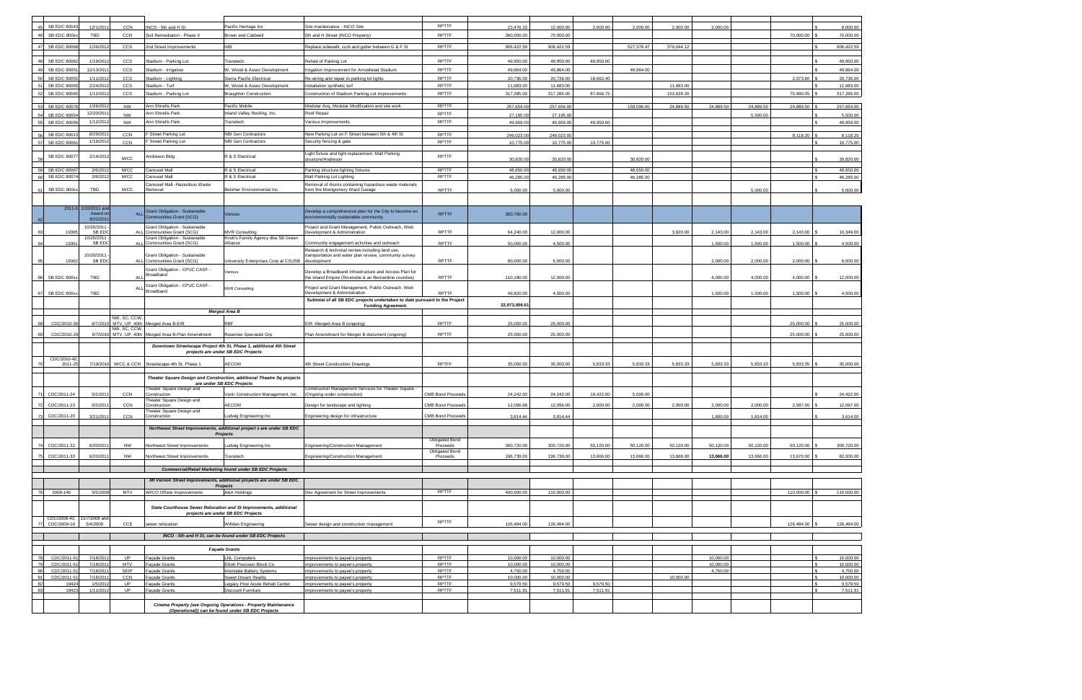| SB EDC 80043               | 12/1/201               | CCN           | NCO - 5th and H St                                                   | Pacific Heritage Inc                                                                                                | Site maintenance - INCO Site                                                                                     | RPTTF                             | 23.476.33             | 12,000.00               | 2.000.00  | 2,000.00   | 2.000.00   | 2.000.00  |                       |               | 8.000.00               |
|----------------------------|------------------------|---------------|----------------------------------------------------------------------|---------------------------------------------------------------------------------------------------------------------|------------------------------------------------------------------------------------------------------------------|-----------------------------------|-----------------------|-------------------------|-----------|------------|------------|-----------|-----------------------|---------------|------------------------|
| SB EDC 800x                | TBD                    | CCN           | Soil Remediation - Phase II                                          | <b>Brown and Caldwell</b>                                                                                           | 5th and H Street (INCO Property)                                                                                 | <b>RPTTF</b>                      | 360,000.00            | 70,000.00               |           |            |            |           |                       | 70,000.00     | 70,000.00              |
|                            |                        |               |                                                                      |                                                                                                                     |                                                                                                                  |                                   |                       |                         |           |            |            |           |                       |               |                        |
| <b>SB EDC 80068</b>        | 1/26/201               | CCS           | <b>2nd Street Improvements</b>                                       | <b>IBI</b>                                                                                                          | Replace sidewalk, curb and gutter between G & F St                                                               | <b>RPTTF</b>                      | 906,422.59            | 906,422.59              |           | 527,378.47 | 379,044.1  |           |                       |               | 906,422.59             |
| <b>SB EDC 80062</b>        | 1/19/201               | CCS           | Stadium - Parking Lot                                                | Transtech                                                                                                           | Rehab of Parking Lot                                                                                             | <b>RPTTF</b>                      | 49,950.00             | 49,950.00               | 49,950.00 |            |            |           |                       |               | 49,950.00              |
| <b>SB EDC 8005</b>         | 12/13/201              | CCS           | Stadium - Irrigation                                                 | W. Wood & Assoc Development                                                                                         | Irrigation Improvement for Arrowhead Stadium                                                                     | <b>RPTTF</b>                      | 49,864.00             | 49,864.00               |           | 49,864.00  |            |           |                       |               | 49,864.00              |
| SB EDC 8005                | 1/11/201               | <b>CCS</b>    | Itadium - Lighting                                                   | Sierra Pacific Electrical                                                                                           | Re-wiring and repair to parking lot lights                                                                       | <b>RPTTF</b>                      | 20,736.00             | 20,736.00               | 18,662.40 |            |            |           |                       | 2,073.60      | 20,736.00              |
| <b>SB EDC 8008</b>         | 2/24/201               | CCS           | Stadium - Turf                                                       | W. Wood & Assoc Development                                                                                         | Installation synthetic turf                                                                                      | <b>RPTTF</b>                      | 11,683.00             | 11,683.00               |           |            | 11,683.00  |           |                       |               | 11,683.00              |
| SB EDC 80065               | 1/12/201               | CCS           | Itadium - Parking Lot                                                | <b>Braughton Construction</b>                                                                                       | Construction of Stadium Parking Lot Improvements                                                                 | <b>RPTTF</b>                      | 317,285.00            | 317,285.00              | 87,666.75 |            | 153,628.20 |           |                       | 75,990.05     | 317,285.00             |
| <b>SB EDC 8007</b>         | 1/26/201               | NW            | Ann Shirells Park                                                    | Pacific Mobile                                                                                                      | Modular Acq, Modular Modification and site work                                                                  | <b>RPTTF</b>                      |                       |                         |           |            |            |           |                       |               |                        |
| <b>SB EDC 8005</b>         | 12/20/201              | <b>NW</b>     | Ann Shirells Park                                                    | nland Valley Roofing, Inc.                                                                                          | Roof Repair                                                                                                      | <b>RPTTF</b>                      | 257,654.0<br>27,195.0 | 257,654.00<br>27,195.00 |           | 158,096.00 | 24,889.50  | 24,889.50 | 24,889.50<br>5,500.00 | 24,889.50     | 257,654.00<br>5,500.00 |
| <b>SB EDC 8005</b>         | 1/12/201               | NW            | Ann Shirells Park                                                    | Transtech                                                                                                           | Various Improvements                                                                                             | <b>RPTTF</b>                      | 49,959.0              | 49,959.00               | 49,959.00 |            |            |           |                       |               | 49,959.00              |
|                            |                        |               |                                                                      |                                                                                                                     |                                                                                                                  |                                   |                       |                         |           |            |            |           |                       |               |                        |
| SB EDC 8001                | 8/29/201               | CCN           | Street Parking Lot                                                   | <b>NBI Gen Contractors</b>                                                                                          | New Parking Lot on F Street between 5th & 4th St                                                                 | <b>RPTTF</b>                      | 249,023.00            | 249,023.00              |           |            |            |           |                       | 8,118.20      | 8,118.20               |
| SB EDC 8006                | 1/19/201               | CCN           | Street Parking Lot                                                   | <b>VBI Gen Contractors</b>                                                                                          | Security fencing & gate                                                                                          | <b>RPTTF</b>                      | 10,775.0              | 10,775.00               | 10,775.00 |            |            |           |                       |               | 10,775.00              |
| <b>SB EDC 8007</b>         | 2/14/201               | M/CC          | Andreson Bldg                                                        | R & S Electrical                                                                                                    | Light fixture and light replacement -Mall Parking                                                                | <b>RPTTF</b>                      |                       |                         |           | 30,820.00  |            |           |                       |               | 30,820.00              |
|                            |                        |               |                                                                      |                                                                                                                     | structure/Andreson                                                                                               |                                   | 30,820.0              | 30,820.00               |           |            |            |           |                       |               |                        |
| <b>SB EDC 8006</b>         | 2/6/201                | M/CC          | Carousel Mall                                                        | R & S Electrical                                                                                                    | Parking structure lighting fixtures                                                                              | RPTTF                             | 48.650.0              | 48.650.00               |           | 48.650.00  |            |           |                       |               | 48.650.00              |
| <b>SB EDC 8007</b>         | 2/8/201                | M/CC          | Carousel Mall<br>Carousel Mall -Hazardous Waste                      | R & S Electrical                                                                                                    | Mall Parking Lot Lighting                                                                                        | RPTTF                             | 46,285.00             | 46,285.00               |           | 46,285.00  |            |           |                       |               | 46,285.00              |
| SB EDC 800xx               | TBD                    | M/CC          | Removal                                                              | Belshier Environmental Inc.                                                                                         | Removal of drums containing hazardous waste materials<br>rom the Montgomery Ward Garage                          | <b>RPTTF</b>                      | 5,000.00              | 5,000.00                |           |            |            |           | 5.000.00              |               | 5,000.00               |
|                            |                        |               |                                                                      |                                                                                                                     |                                                                                                                  |                                   |                       |                         |           |            |            |           |                       |               |                        |
|                            | 2011-6 1/10/2011 and   |               |                                                                      |                                                                                                                     |                                                                                                                  |                                   |                       |                         |           |            |            |           |                       |               |                        |
|                            | Award or               | <b>ALL</b>    | Grant Obligation - Sustainable<br>Communities Grant (SCG)            | Various                                                                                                             | Develop a comprehensive plan for the City to become an<br>environmentally sustainable community                  | <b>RPTTF</b>                      | 300,760.00            |                         |           |            |            |           |                       |               |                        |
|                            | 8/22/201<br>10/20/2011 |               | <b>Grant Obligation - Sustainable</b>                                |                                                                                                                     | Project and Grant Management, Public Outreach, Web                                                               |                                   |                       |                         |           |            |            |           |                       |               |                        |
| 1936                       | SB <sub>ED</sub>       |               | ALL Communities Grant (SCG)                                          | MVR Consulting                                                                                                      | Development & Administration                                                                                     | <b>RPTTF</b>                      | 64,240.00             | 12,000.00               |           |            | 3,920.00   | 2,143.00  | 2,143.00              | 2,143.00      | 10,349.00              |
| 19361                      | 10/20/2011<br>SB EDO   |               | <b>Grant Obligation - Sustainable</b><br>ALL Communities Grant (SCG) | Knott's Family Agency dba SB Green<br>Alliance                                                                      | Community engagement activities and outreach                                                                     | <b>RPTTF</b>                      | 50,000.00             | 4,500.00                |           |            |            | 1,500.00  | 1,500.00              | 1,500.00      | 4,500.00               |
|                            |                        |               |                                                                      |                                                                                                                     | Research & technical review including land use,                                                                  |                                   |                       |                         |           |            |            |           |                       |               |                        |
| 19362                      | 10/20/2011<br>SB EDC   |               | Grant Obligation - Sustainable<br>ALL Communities Grant (SCG)        | University Enterprises Corp at CSUSB                                                                                | transportation and water plan review, community survey<br>development                                            | RPTTF                             | 80,000.00             | 6,000.00                |           |            |            | 2,000.00  | 2,000.00              | 2,000.00      | 6,000.00               |
|                            |                        |               | Grant Obligation - CPUC CASF                                         |                                                                                                                     |                                                                                                                  |                                   |                       |                         |           |            |            |           |                       |               |                        |
| SB EDC 800xx               | TBD                    |               | Broadband                                                            | /arious                                                                                                             | Develop a Broadband Infrastructure and Access Plan for<br>the Inland Empire (Riverside & an Bernardino counties) | <b>RPTTF</b>                      | 110,180.00            | 12,000.00               |           |            |            | 4,000.00  | 4,000.00              | 4,000.00      | 12,000.00              |
|                            |                        |               | Grant Obligation - CPUC CASF                                         |                                                                                                                     | Project and Grant Management, Public Outreach, Web                                                               |                                   |                       |                         |           |            |            |           |                       |               |                        |
| SB EDC 800xx               | TBD                    | ALI           | Broadband                                                            | <b>MVR Consulting</b>                                                                                               | Development & Administration                                                                                     | <b>RPTTF</b>                      | 49,820.00             | 4,500.00                |           |            |            | 1,500.00  | 1,500.00              | 1,500.00      | 4,500.00               |
|                            |                        |               |                                                                      |                                                                                                                     | Subtotal of all SB EDC projects undertaken to date pursuant to the Project                                       |                                   |                       |                         |           |            |            |           |                       |               |                        |
|                            |                        |               |                                                                      | <b>Merged Area B</b>                                                                                                | <b>Funding Agreement.</b>                                                                                        |                                   | 22,073,006.6          |                         |           |            |            |           |                       |               |                        |
|                            |                        | NW, SC, CCW   |                                                                      |                                                                                                                     |                                                                                                                  |                                   |                       |                         |           |            |            |           |                       |               |                        |
| CDC/2010-3                 | 6/7/2010               | VW, SC, CCW   | MTV, UP, 40th Merged Area B-EIR                                      | RBF                                                                                                                 | EIR -Merged Area B (ongoing)                                                                                     | <b>RPTTF</b>                      | 25,000.00             | 25,000.00               |           |            |            |           |                       | 25,000.00     | 25,000.00              |
| CDC/2010-2                 | 6/7/201                | MTV, UP, 40th | lerged Area B-Plan Amendment                                         | Rosenow Spevacek Grp                                                                                                | Plan Amendment for Merger B document (ongoing)                                                                   | RPTTF                             | 25,000.00             | 25,000.00               |           |            |            |           |                       | 25,000.00     | 25,000.00              |
|                            |                        |               |                                                                      | Downtown Streetscape Project 4th St, Phase 1, additional 4th Street                                                 |                                                                                                                  |                                   |                       |                         |           |            |            |           |                       |               |                        |
|                            |                        |               |                                                                      | projects are under SB EDC Projects                                                                                  |                                                                                                                  |                                   |                       |                         |           |            |            |           |                       |               |                        |
| CDC/2010-42<br>2011-25     | 7/19/2010              |               | M/CC & CCN Streetscape-4th St, Phase 1                               | AECOM                                                                                                               | 4th Street Construction Drawings                                                                                 | <b>RPTFF</b>                      | 35,000.00             | 35,000.00               | 5,833.33  | 5,833.33   | 5,833.33   | 5,833.33  | 5,833.33              | 5,833.35      | 35,000.00              |
|                            |                        |               |                                                                      |                                                                                                                     |                                                                                                                  |                                   |                       |                         |           |            |            |           |                       |               |                        |
|                            |                        |               |                                                                      | Theater Square Design and Construction, additional Theatre Sq projects<br>are under SB EDC Projects                 |                                                                                                                  |                                   |                       |                         |           |            |            |           |                       |               |                        |
|                            |                        |               | heater Square Design and                                             |                                                                                                                     | Construction Management Services for Theater Square -                                                            |                                   |                       |                         |           |            |            |           |                       |               |                        |
| CDC/2011-24                | 5/2/201                | <b>CCN</b>    | Construction<br>heater Square Design and                             | Vanir Construction Management, Inc.                                                                                 | (Ongoing under construction)                                                                                     | <b>CMB Bond Proceeds</b>          | 24,242.00             | 24,242.00               | 19,422.00 | 5,000.00   |            |           |                       |               | 24,422.00              |
| CDC/2011-23                | 5/2/201                | CCN           | Construction                                                         | AECOM                                                                                                               | Design for landscape and lighting                                                                                | <b>CMB Bond Proceeds</b>          | 12,096.68             | 12,096.00               | 2,000.00  | 2,000.00   | 2,000.00   | 2,000.00  | 2,000.00              | 2,097.00      | 12,097.00              |
| CDC/2011-20                | 3/21/2011              | CCN           | heater Square Design and<br>Construction                             | Ludwig Engineering Inc                                                                                              | Engineering design for infrastructure                                                                            | <b>CMB Bond Proceeds</b>          | 3,814.44              | 3,814.44                |           |            |            | 1,800.00  | 1,814.00              |               | 3,614.00               |
|                            |                        |               |                                                                      |                                                                                                                     |                                                                                                                  |                                   |                       |                         |           |            |            |           |                       |               |                        |
|                            |                        |               |                                                                      | Northwest Street Improvements, additional project s are under SB EDC<br><b>Projects</b>                             |                                                                                                                  |                                   |                       |                         |           |            |            |           |                       |               |                        |
|                            |                        |               |                                                                      |                                                                                                                     |                                                                                                                  | <b>Obligated Bond</b>             |                       |                         |           |            |            |           |                       |               |                        |
| CDC/2011-32                | 6/20/201               | <b>NW</b>     | <b>Northwest Street Improvements</b>                                 | udwig Engineering Inc.                                                                                              | Engineering/Construction Management                                                                              | Proceeds<br><b>Obligated Bond</b> | 300,720.00            | 300,720.00              | 50,120.00 | 50,120.00  | 50,120.00  | 50,120.00 | 50,120.00             | 50,120.00     | 300,720.00             |
| CDC/2011-33                | 6/20/2011              | <b>NW</b>     | Northwest Street Improvements                                        | Transtech                                                                                                           | Engineering/Construction Management                                                                              | Proceeds                          | 196,739.00            | 196,739.00              | 13,666.00 | 13,666.00  | 13,666.00  | 13,666.00 | 13,666.00             | 13,670.00     | 82,000.00              |
|                            |                        |               |                                                                      | <b>Commercial/Retail Marketing found under SB EDC Projects</b>                                                      |                                                                                                                  |                                   |                       |                         |           |            |            |           |                       |               |                        |
|                            |                        |               |                                                                      | Mt Vernon Street Improvements, additional projects are under SB EDC                                                 |                                                                                                                  |                                   |                       |                         |           |            |            |           |                       |               |                        |
|                            |                        |               |                                                                      | <b>Projects</b>                                                                                                     |                                                                                                                  |                                   |                       |                         |           |            |            |           |                       |               |                        |
| 2008-146                   | 5/5/2008               | <b>MTV</b>    | <b>ARCO Offsite Improvements</b>                                     | A&A Holdings                                                                                                        | Dev Agreement for Street Improvements                                                                            | RPTTF                             | 400,000.00            | 110,000.00              |           |            |            |           |                       | 110,000.00 \$ | 110,000.00             |
|                            |                        |               |                                                                      |                                                                                                                     |                                                                                                                  |                                   |                       |                         |           |            |            |           |                       |               |                        |
|                            |                        |               |                                                                      | State Courthouse Sewer Relocation and St Improvements, additional<br>projects are under SB EDC Projects             |                                                                                                                  |                                   |                       |                         |           |            |            |           |                       |               |                        |
| CDC/2008-43, 11/7/2008 and |                        |               |                                                                      |                                                                                                                     |                                                                                                                  | <b>RPTTF</b>                      |                       |                         |           |            |            |           |                       |               |                        |
| CDC/2009-18                | 5/4/2009               | CCE           | sewer relocation                                                     | Willdan Engineering                                                                                                 | Sewer design and construction management                                                                         |                                   | 126,484.00            | 126,484.00              |           |            |            |           |                       | 126,484.00 \$ | 126,484.00             |
|                            |                        |               |                                                                      | INCO - 5th and H St, can be found under SB EDC Projects                                                             |                                                                                                                  |                                   |                       |                         |           |            |            |           |                       |               |                        |
|                            |                        |               |                                                                      | <b>Façade Grants</b>                                                                                                |                                                                                                                  |                                   |                       |                         |           |            |            |           |                       |               |                        |
| CDC/2011-5                 | 7/18/2011              | UP            | açade Grants                                                         | <b>LNL Computers</b>                                                                                                | improvements to payee's property                                                                                 | <b>RPTTF</b>                      | 10,000.00             | 10,000.00               |           |            |            | 10,000.00 |                       |               | 10,000.00              |
| CDC/2011-5                 | 7/18/2011              | MTV           | Façade Grants                                                        | Elliott Precision Block Co                                                                                          | improvements to payee's property                                                                                 | <b>RPTTF</b>                      | 10,000.00             | 10,000.00               |           |            |            | 10,000.00 |                       |               | 10,000.00              |
| CDC/2011-5<br>RT           | 7/18/2011              | SEIP          | Façade Grants                                                        | <b>Interstate Battery Systems</b>                                                                                   | improvements to payee's property                                                                                 | RPTTF                             | 4,750.00              | 4,750.00                |           |            |            | 4,750.00  |                       |               | 4,750.00               |
| CDC/2011-5<br>19424        | 7/18/2011<br>1/5/2012  | CCN<br>UP     | açade Grants<br>Façade Grants                                        | Sweet Dream Reality<br>Legacy Post Acute Rehab Center                                                               | improvements to payee's property<br>improvements to payee's property                                             | <b>RPTTF</b><br><b>RPTTF</b>      | 10,000.00<br>9,579.50 | 10,000.00<br>9,579.50   | 9,579.50  |            | 10,000.00  |           |                       |               | 10,000.00<br>9,579.50  |
| 19423                      | 1/11/2012              | <b>UP</b>     | açade Grants                                                         | Discount Furniture                                                                                                  | improvements to payee's property                                                                                 | <b>RPTTF</b>                      | 7,511.91              | 7,511.91                | 7,511.91  |            |            |           |                       |               | 7,511.91               |
|                            |                        |               |                                                                      |                                                                                                                     |                                                                                                                  |                                   |                       |                         |           |            |            |           |                       |               |                        |
|                            |                        |               |                                                                      | Cinema Property (see Ongoing Operations - Property Maintenance<br>(Operational)) can be found under SB EDC Projects |                                                                                                                  |                                   |                       |                         |           |            |            |           |                       |               |                        |
|                            |                        |               |                                                                      |                                                                                                                     |                                                                                                                  |                                   |                       |                         |           |            |            |           |                       |               |                        |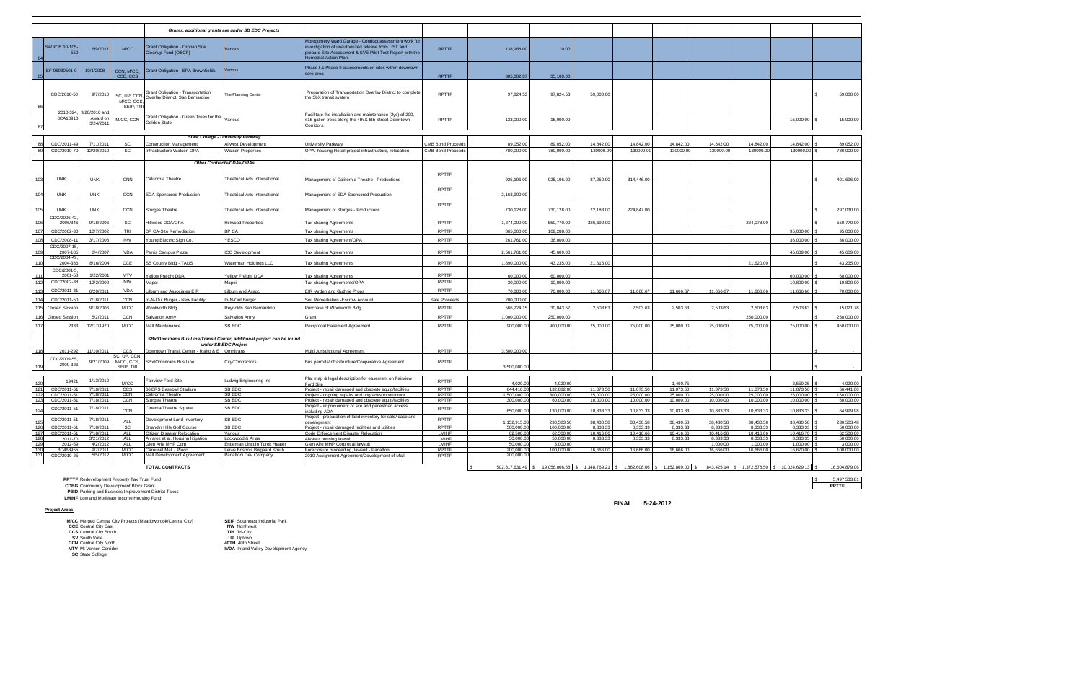**PBID** Parking and Business Improvement District Taxes **LMIHF** Low and Moderate Income Housing Fund

|            |                           |                                      |                                               |                                                                                    | Grants, additional grants are under SB EDC Projects                    |                                                                                                                                                                                              |                              |                            |                                                                                |                       |                        |                        |                       |                       |                                                |                        |
|------------|---------------------------|--------------------------------------|-----------------------------------------------|------------------------------------------------------------------------------------|------------------------------------------------------------------------|----------------------------------------------------------------------------------------------------------------------------------------------------------------------------------------------|------------------------------|----------------------------|--------------------------------------------------------------------------------|-----------------------|------------------------|------------------------|-----------------------|-----------------------|------------------------------------------------|------------------------|
|            | <b>SWRCB 10-105</b>       | 6/9/2011                             | M/CC                                          | Grant Obligation - Orphan Site<br>Cleanup Fund (OSCF)                              | Various                                                                | Montgomery Ward Garage - Conduct assessment work for<br>ivestigation of unauthorized release from UST and<br>repare Site Assessment & SVE Pilot Test Report with the<br>emedial Action Plan. | <b>RPTTF</b>                 | 138,188.00                 | 0.00                                                                           |                       |                        |                        |                       |                       |                                                |                        |
|            | BF-96930501-0             | 10/1/2008                            | CCN, M/CC,<br>CCE, CCS                        | <b>Grant Obligation - EPA Brownfields</b>                                          | Various                                                                | Phase I & Phase II assessments on sites within downtown<br>core area                                                                                                                         | <b>RPTTF</b>                 | 305,002.87                 | 35,100.00                                                                      |                       |                        |                        |                       |                       |                                                |                        |
|            | CDC/2010-50               | 9/7/2010                             | M/CC, CCS,<br>SEIP, TRI                       | Grant Obligation - Transportation<br>SC, UP, CCN, Overlay District, San Bernardino | The Planning Center                                                    | Preparation of Transportation Overlay District to complete<br>the SbX transit system                                                                                                         | <b>RPTTF</b>                 | 97,824.53                  | 97,824.53                                                                      | 59,000.00             |                        |                        |                       |                       |                                                | 59,000.00              |
|            | 2010-324<br>8CA1091       | 9/20/2010 an<br>Award or<br>3/24/201 | M/CC, CCN                                     | Grant Obligation - Green Trees for the Various<br>Golden State                     |                                                                        | Facilitate the installation and maintenance (2ys) of 200,<br>#15 gallon trees along the 4th & 5th Street Downtown<br>Corridors.                                                              | <b>RPTTF</b>                 | 133,000.00                 | 15,000.00                                                                      |                       |                        |                        |                       |                       | 15,000.00 \$                                   | 15,000.00              |
|            |                           |                                      |                                               |                                                                                    | <b>State College - University Parkway</b>                              |                                                                                                                                                                                              |                              |                            |                                                                                |                       |                        |                        |                       |                       |                                                |                        |
|            | CDC/2011-4                | 7/11/201                             | SC                                            | <b>Construction Management</b>                                                     | <b>Allwest Development</b>                                             | University Parkway                                                                                                                                                                           | <b>CMB Bond Proceeds</b>     | 89.052.00                  | 89.052.00                                                                      | 14.842.00             | 14.842.00              | 14.842.00              | 14,842.00             | 14.842.00             | 14.842.00                                      | 89.052.00              |
|            | CDC/2010-7                | 12/20/2010                           | <b>SC</b>                                     | Infrastructure Watson OPA                                                          | <b>Natson Properties</b>                                               | OPA, housing-Retail project infrastructure, relocation                                                                                                                                       | <b>CMB Bond Proceeds</b>     | 780,000,00                 | 780,000,00                                                                     | 130000.00             | 130000.00              | 130000.00              | 130000.0              | 130000.00             | 130000.00                                      | 780.000.00             |
|            |                           |                                      |                                               |                                                                                    | Other Contracts/DDAs/OPAs                                              |                                                                                                                                                                                              |                              |                            |                                                                                |                       |                        |                        |                       |                       |                                                |                        |
|            |                           |                                      |                                               |                                                                                    |                                                                        |                                                                                                                                                                                              |                              |                            |                                                                                |                       |                        |                        |                       |                       |                                                |                        |
| 103        | <b>UNK</b>                | <b>UNK</b>                           | <b>CNN</b>                                    | California Theatre                                                                 | <b>Theatrical Arts International</b>                                   | Management of California Theatre - Productions                                                                                                                                               | <b>RPTTF</b>                 | 925,196.00                 | 925,196.00                                                                     | 87,250.00             | 314,446.00             |                        |                       |                       |                                                | 401,696.00             |
| 104        | <b>UNK</b>                | <b>UNK</b>                           | CCN                                           | <b>EDA Sponsored Production</b>                                                    | <b>Theatrical Arts International</b>                                   | Management of EDA Sponsored Production                                                                                                                                                       | <b>RPTTF</b>                 | 2.163.900.00               |                                                                                |                       |                        |                        |                       |                       |                                                |                        |
|            | <b>UNK</b>                |                                      | CCN                                           | <b>Sturges Theatre</b>                                                             |                                                                        | Management of Sturges - Productions                                                                                                                                                          | <b>RPTTF</b>                 | 730,128.00                 | 730,128.00                                                                     | 72,183.00             | 224,847.00             |                        |                       |                       |                                                | 297,030.00             |
| 105        | CDC/2006-42               | <b>UNK</b>                           |                                               |                                                                                    | <b>Theatrical Arts International</b>                                   |                                                                                                                                                                                              |                              |                            |                                                                                |                       |                        |                        |                       |                       |                                                |                        |
| 106        | 2006/346                  | 9/18/2006                            | SC                                            | Hillwood DDA/OPA                                                                   | Hillwood Properties                                                    | Tax sharing Agreements                                                                                                                                                                       | <b>RPTTF</b>                 | 1,274,000.00               | 550,770.00                                                                     | 326,692.00            |                        |                        |                       | 224,078.00            |                                                | 550,770.00             |
| 107        | CDC/2002-3                | 10/7/2002                            | TRI                                           | <b>BP CA-Site Remediation</b>                                                      | BP CA                                                                  | <b>Tax sharing Agreements</b>                                                                                                                                                                | <b>RPTTF</b>                 | 865,000.00                 | 169,288.00                                                                     |                       |                        |                        |                       |                       | 95,000.00                                      | 95,000.00              |
| 108        | CDC/2008-                 | 3/17/2008                            | <b>NW</b>                                     | Young Electric Sign Co.                                                            | YESCO                                                                  | Tax sharing Agreement/OPA                                                                                                                                                                    | <b>RPTTF</b>                 | 261,761.00                 | 36,000.00                                                                      |                       |                        |                        |                       |                       | 36,000.00                                      | 36,000.00              |
|            | CDC/2007-15<br>2007-18    | 6/4/2007                             | <b>IVDA</b>                                   | Perris Campus Plaza                                                                | <b>CO Development</b>                                                  | <b>Tax sharing Agreements</b>                                                                                                                                                                | <b>RPTTF</b>                 | 2,561,761.00               | 45,609.00                                                                      |                       |                        |                        |                       |                       | 45,609.00                                      | 45,609.00              |
|            | CDC/2004-49<br>2004-38    | 8/16/200                             | CCE                                           | SB County Bldg - TADS                                                              | Waterman Holdings LLC                                                  | <b>Tax sharing Agreements</b>                                                                                                                                                                | <b>RPTTF</b>                 | 1.890.000.00               | 43.235.00                                                                      | 21.615.00             |                        |                        |                       | 21.620.00             |                                                | 43,235.00              |
| 111        | CDC/2001-5<br>$2001 - 5$  | 1/22/2001                            | <b>MTV</b>                                    | Yellow Freight DDA                                                                 | Yellow Freight DDA                                                     | Tax sharing Agreements                                                                                                                                                                       | <b>RPTTF</b>                 | 60,000,00                  | 60.000.00                                                                      |                       |                        |                        |                       |                       | 60,000.00                                      | 60.000.00              |
| 112        | CDC/2002-3                | 12/2/2002                            | <b>NW</b>                                     | Mapei                                                                              | Mapei                                                                  | Tax sharing Agreements/OPA                                                                                                                                                                   | <b>RPTTF</b>                 | 30,000,00                  | 10,800.00                                                                      |                       |                        |                        |                       |                       | 10,800.00                                      | 10,800.00              |
| 113        | CDC/2011-                 | 6/20/201                             | <b>IVDA</b>                                   | Lilburn and Associates EIR                                                         | Lilburn and Assoc                                                      | EIR -Arden and Guthrie Props                                                                                                                                                                 | RPTTF                        | 70,000.00                  | 70,000.00                                                                      | 11,666,67             | 11.666.67              | 11,666.67              | 11,666,67             | 11,666,66             | 11.666.66                                      | 70,000.00              |
| 114        | CDC/2011-5                | 7/18/201 <sup>-</sup>                | CCN                                           | In-N-Out Burger - New Facility                                                     | In-N-Out Burger                                                        | Soil Remediation - Escrow Account                                                                                                                                                            | Sale Proceeds                | 200,000.00                 |                                                                                |                       |                        |                        |                       |                       |                                                |                        |
| 115        | <b>Closed Sessio</b>      | 9/18/2006                            | M/CC                                          | Woolworth Bldg                                                                     | Reynolds San Bernardino                                                | Purchase of Woolworth Bldg                                                                                                                                                                   | <b>RPTTF</b>                 | 566,724.15                 | 30,043.57                                                                      | 2,503.63              | 2,503.63               | 2,503.63               | 2,503.63              | 2,503.63              | 2,503.63                                       | 15,021.78              |
| 116        | <b>Closed Sessi</b>       | 5/2/201                              | CCN                                           | Salvation Army                                                                     | Salvation Army                                                         | Grant                                                                                                                                                                                        | RPTTF                        | 1,000,000.00               | 250,000.00                                                                     |                       |                        |                        |                       | 250,000.00            |                                                | 250,000.00             |
|            | 2333                      | 12/17/1970                           | M/CC                                          | Mall Maintenance                                                                   | <b>B EDC</b>                                                           | Reciprocal Easement Agreement                                                                                                                                                                | RPTTF                        | 900,000.00                 | 900,000.00                                                                     | 75,000.00             | 75,000.00              | 75,000.00              | 75,000.00             | 75,000.00             | 75,000.00                                      | 450,000.00             |
|            |                           |                                      |                                               |                                                                                    | SBx/Omnitrans Bus Line/Transit Center, additional project can be found |                                                                                                                                                                                              |                              |                            |                                                                                |                       |                        |                        |                       |                       |                                                |                        |
| 118        | 2011-29                   | 11/10/201                            | ccs                                           | Downtown Transit Center - Rialto & E Omnitrans                                     | under SB EDC Project                                                   | Multi Jurisdictional Agreement                                                                                                                                                               | <b>RPTTF</b>                 | 3,500,000.00               |                                                                                |                       |                        |                        |                       |                       |                                                |                        |
|            | CDC/2009-55               |                                      | SC, UP, CCN                                   |                                                                                    |                                                                        |                                                                                                                                                                                              |                              |                            |                                                                                |                       |                        |                        |                       |                       |                                                |                        |
| 119        | 2009-326                  | 9/21/2009                            | M/CC, CCS,<br>SEIP. TRI                       | SBx/Omnitrans Bus Line                                                             | City/Contractors                                                       | Bus permits/infrastructure/Cooperative Agreement                                                                                                                                             | <b>RPTTF</b>                 | 3,500,000.00               |                                                                                |                       |                        |                        |                       |                       |                                                |                        |
|            |                           |                                      |                                               |                                                                                    |                                                                        | Plat map & legal description for easement on Fairview                                                                                                                                        |                              |                            |                                                                                |                       |                        |                        |                       |                       |                                                |                        |
|            | 1942                      | 1/13/2012                            | M/CC                                          | Fairview Ford Site                                                                 | Ludwig Engineering Inc<br>SB EDC                                       | Ford Site                                                                                                                                                                                    | <b>RPTTF</b>                 | 4.020.00                   | 4.020.00                                                                       | 11,073.50             |                        | 1.460.75               | 11,073.50             | 11,073.50             | 2.559.25                                       | 4,020.00<br>66.441.00  |
| 121<br>122 | CDC/2011-5<br>CDC/2011-   | 7/18/2011<br>7/18/201                | CCS<br><b>CCN</b>                             | 66'ERS Baseball Stadium<br>California Theatre                                      | SB EDC                                                                 | Project - repair damaged and obsolete equip/facilties<br>Project - ongoing repairs and upgrades to structure                                                                                 | <b>RPTTF</b><br><b>RPTTF</b> | 644,410.00<br>1.500.000.00 | 132,882.00<br>300.000.00                                                       | 25,000.00             | 11,073.50<br>25,000.00 | 11,073.50<br>25,000.00 | 25.000.00             | 25.000.00             | 11,073.50<br>25.000.00                         | 150.000.00             |
| 123        | CDC/2011-5                | 7/18/2011                            | CCN                                           | <b>Sturges Theatre</b>                                                             | SB EDC                                                                 | Project - repair damaged and obsolete equip/facilties                                                                                                                                        | <b>RPTTF</b>                 | 300,000.00                 | 60,000.00                                                                      | 10,000.00             | 10,000.00              | 10,000.00              | 10,000.00             | 10,000.00             | 10,000.00                                      | 60,000.00              |
| 124        | CDC/2011-5                | 7/18/201 <sup>-</sup>                | CCN                                           | Cinema/Theatre Square                                                              | SB EDC                                                                 | Project - improvement of site and pedestrian access<br>including ADA                                                                                                                         | <b>RPTTF</b>                 | 650,000.00                 | 130,000.00                                                                     | 10,833.33             | 10,833.33              | 10,833.33              | 10,833.33             | 10,833.33             | 10,833.33                                      | 64,999.98              |
| 125        | CDC/2011-51               | 7/18/2011                            | ALL                                           | Development Land Inventory                                                         | SB EDC                                                                 | roject - preparation of land inventory for sale/lease and<br>development                                                                                                                     | <b>RPTTF</b>                 | 1,152,915.00               | 230.583.50                                                                     | 38,430.58             | 38,430.58              | 38,430.58              | 38,430.58             | 38,430.58             | 38.430.58                                      | 230,583.48             |
| 126<br>127 | CDC/2011-51<br>CDC/2011-5 | 7/18/2011<br>7/18/2011               | <b>SC</b><br>ALL                              | Shandin Hills Golf Course<br>Citizen Disaster Relocation                           | SB EDC<br>Various                                                      | Project - repair damaged facilities and utilities<br>Code Enforcement Disaster Relocation                                                                                                    | <b>RPTTF</b><br><b>LMIHF</b> | 500,000.00<br>62,500.00    | 100,000.00<br>62,500.00                                                        | 8,333.33<br>10.416.66 | 8,333.33<br>10,416.66  | 8,333.33<br>10.416.66  | 8,333.33<br>10,416.66 | 8,333.33<br>10.416.66 | 8,333.33<br>10.416.70                          | 50,000.00<br>62,500.00 |
| 128        | 2011-7                    | 3/21/2012                            | ALL                                           | Alvarez et al, Housing litigation                                                  | Lockwood & Arias                                                       | Alvarez housing lawsuit                                                                                                                                                                      | LMIHF                        | 50,000.00                  | 50,000.00                                                                      | 8,333.33              | 8,333.33               | 8,333.33               | 8,333.33              | 8,333.33              | 8,333.35                                       | 50,000.00              |
| 129        | 2012-5                    | 4/2/2012                             | ALL                                           | Glen Arie MHP Corp                                                                 | Endeman Lincoln Turek Heater                                           | Glen Aire MHP Corp et al lawsuit                                                                                                                                                             | <b>LMIHF</b>                 | 50,000.00                  | 3,000.00                                                                       |                       |                        |                        | 1,000.00              | 1,000.00              | 1,000.00                                       | 3,000.00               |
| 130<br>131 | BC46895                   | 9/7/2011<br>5/5/2012                 | <b>M/CC</b><br><b>M/CC</b>                    | Carousel Mall - Placo<br>Mall Development Agreement                                | Leiws Brisbois Bisgaard Smith<br>Panattoni Dev Company                 | Foreclosure proceeding, lawsuit - Panattoni                                                                                                                                                  | <b>RPTTF</b><br>RPTTF        | 200,000.00<br>200,000.00   | 100,000.00                                                                     | 16,666.00             | 16,666.00              | 16,666.00              | 16,666.00             | 16,666.00             | 16,670.00                                      | 100,000.00             |
|            | CDC/2010-2                |                                      |                                               |                                                                                    |                                                                        | 2010 Assignment Agreement/Development of Mall                                                                                                                                                |                              |                            |                                                                                |                       |                        |                        |                       |                       |                                                |                        |
|            |                           |                                      |                                               | <b>TOTAL CONTRACTS</b>                                                             |                                                                        |                                                                                                                                                                                              |                              |                            | 502,817,631.49 \$19,056,066.58 \$1,348,769.21 \$1,862,608.06 \$1,152,869.00 \$ |                       |                        |                        |                       |                       | 843,425.14 \$ 1,372,578.50 \$ 10,024,629.13 \$ | 16,604,879.06          |
|            |                           |                                      | RPTTF Redevelopment Property Tax Trust Fund   |                                                                                    |                                                                        |                                                                                                                                                                                              |                              |                            |                                                                                |                       |                        |                        |                       |                       |                                                | 5,497,533.81           |
|            |                           |                                      | <b>CDBG</b> Community Development Block Grant |                                                                                    |                                                                        |                                                                                                                                                                                              |                              |                            |                                                                                |                       |                        |                        |                       |                       |                                                | <b>RPTTF</b>           |

#### **Project Areas**

**MCC** Merged Central City Projects (Meadowbrook/Central City)<br>
CCC Central City East<br>
CCC Central City South<br>
CCC Central City South<br>
SV South Valle<br>
CCN Central City North<br>
SV South Valle<br>
CCN Central City North<br>
MTV In V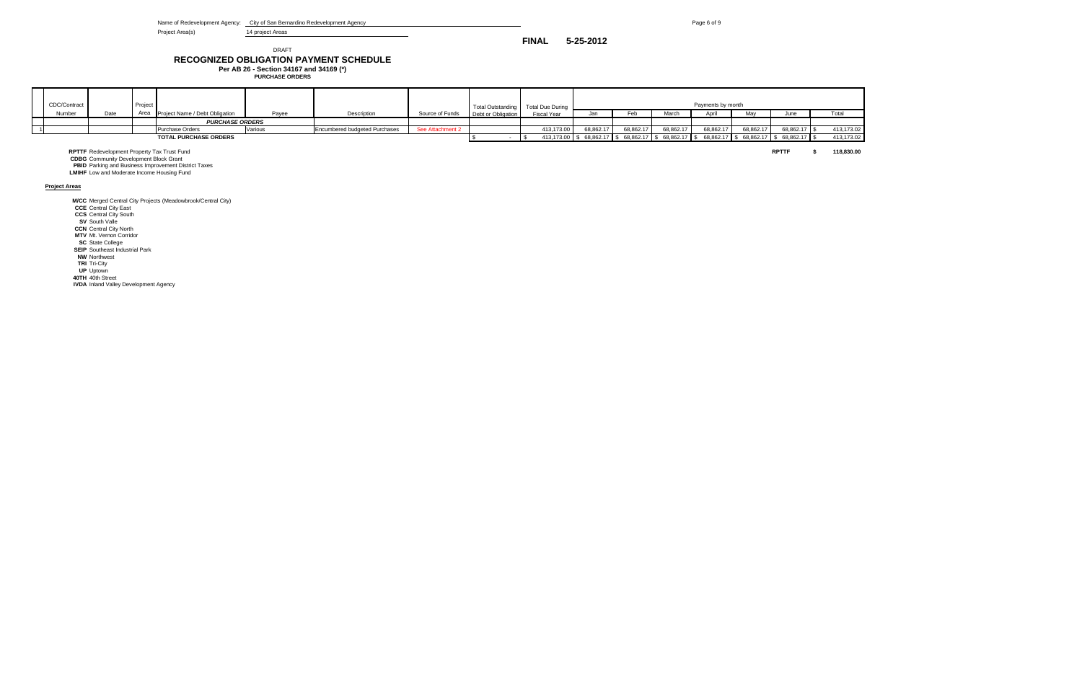Name of Redevelopment Agency: City of San Bernardino Redevelopment Agency **Page 6** of 9

Project Area(s) 14 project Areas

#### **RECOGNIZED OBLIGATION PAYMENT SCHEDULE** DRAFT

**Per AB 26 - Section 34167 and 34169 (\*) PURCHASE ORDERS**

| CDC/Contract |                                                                                                     | Project |                                                             |         |                                      |                  | Total Outstanding  | <b>Total Due During</b> |           |           |                                                                                       | Payments by month |           |              |            |
|--------------|-----------------------------------------------------------------------------------------------------|---------|-------------------------------------------------------------|---------|--------------------------------------|------------------|--------------------|-------------------------|-----------|-----------|---------------------------------------------------------------------------------------|-------------------|-----------|--------------|------------|
| Number       | Date                                                                                                | Area    | Project Name / Debt Obligation                              | Payee   | Description                          | Source of Funds  | Debt or Obligation | Fiscal Year             | Jan       | Feb       | March                                                                                 | April             |           | June         | Total      |
|              |                                                                                                     |         | <b>PURCHASE ORDERS</b>                                      |         |                                      |                  |                    |                         |           |           |                                                                                       |                   |           |              |            |
|              |                                                                                                     |         | Purchase Orders                                             | Various | <b>Encumbered budgeted Purchases</b> | See Attachment 2 |                    | 413,173.00              | 68,862.17 | 68,862.17 | 68,862.17                                                                             | 68.862.17         | 68,862.17 | 68,862.17    | 413,173.02 |
|              |                                                                                                     |         | TOTAL PURCHASE ORDERS                                       |         |                                      |                  |                    |                         |           |           | 413,173.00 \$68,862.17 \$68,862.17 \$68,862.17 \$68,862.17 \$68,862.17 \$68,862.17 \$ |                   |           |              | 413,173.02 |
|              | <b>RPTTF</b> Redevelopment Property Tax Trust Fund<br><b>CDBG</b> Community Development Block Grant |         | <b>PBID</b> Parking and Business Improvement District Taxes |         |                                      |                  |                    |                         |           |           |                                                                                       |                   |           | <b>RPTTF</b> | 118,830.00 |

**LMIHF** Low and Moderate Income Housing Fund

**Project Areas**

**M/CC** Merged Central City Projects (Meadowbrook/Central City)

**CCE** Central City East **CCS** Central City South

**SV** South Valle **CCN** Central City North

**MTV** Mt. Vernon Corridor

**SC** State College

**SEIP** Southeast Industrial Park

**NW** Northwest **TRI** Tri-City **UP** Uptown

**40TH** 40th Street **IVDA** Inland Valley Development Agency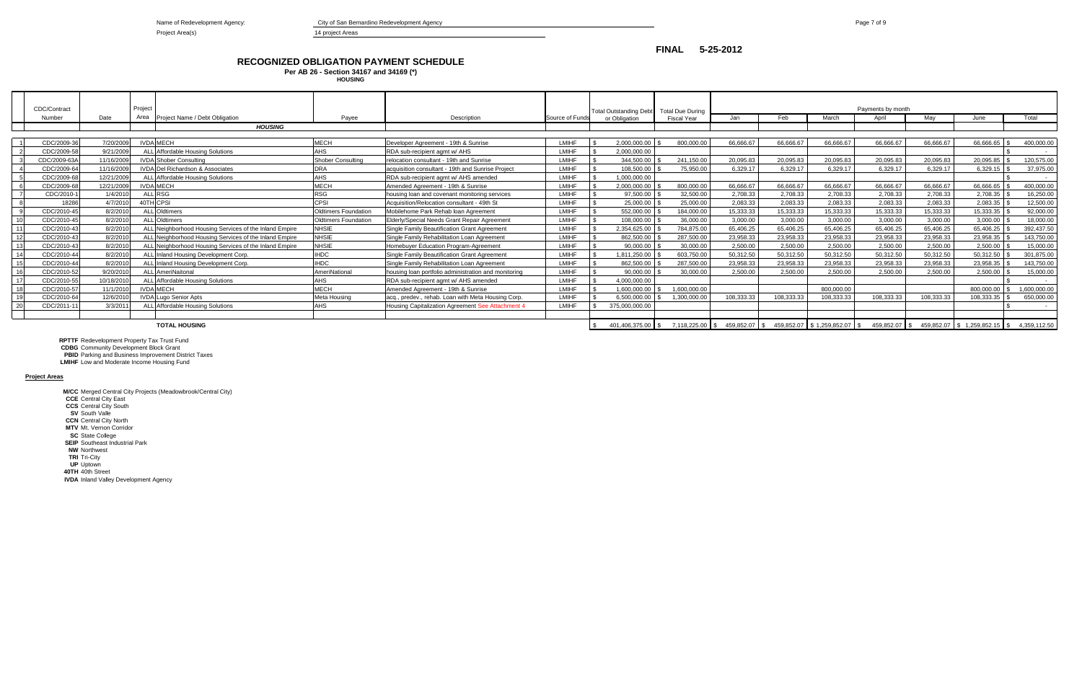Name of Redevelopment Agency: **City of San Bernardino Redevelopment Agency Page 7 of 9** Page 7 of 9

Project Area(s) and the contract of the 14 project Areas

#### **RECOGNIZED OBLIGATION PAYMENT SCHEDULE Per AB 26 - Section 34167 and 34169 (\*)**

**CDBG** Community Development Block Grant **PBID** Parking and Business Improvement District Taxes

| CDC/Contract |            | Project |                                                        |                             |                                                      |                 | Total Outstanding Debt Total Due During |                     |               |            |                                  | Payments by month |            |                              |              |
|--------------|------------|---------|--------------------------------------------------------|-----------------------------|------------------------------------------------------|-----------------|-----------------------------------------|---------------------|---------------|------------|----------------------------------|-------------------|------------|------------------------------|--------------|
| Number       | Date       | Area    | Project Name / Debt Obligation                         | Pavee                       | Description                                          | Source of Funds | or Obligation                           | <b>Fiscal Year</b>  | Jan           | Feb        | March                            | April             | Mav        | June                         | Total        |
|              |            |         | <b>HOUSING</b>                                         |                             |                                                      |                 |                                         |                     |               |            |                                  |                   |            |                              |              |
|              |            |         |                                                        |                             |                                                      |                 |                                         |                     |               |            |                                  |                   |            |                              |              |
| CDC/2009-36  | 7/20/2009  |         | <b>IVDA MECH</b>                                       | MECH                        | Developer Agreement - 19th & Sunrise                 | LMIHF           | 2.000.000.00                            | 800.000.00          | 66.666.67     | 66.666.67  | 66,666,67                        | 66.666.67         | 66.666.67  | 66.666.65                    | 400.000.00   |
| CDC/2009-58  | 9/21/2009  |         | ALL Affordable Housing Solutions                       | AHS                         | RDA sub-recipient agmt w/ AHS                        | LMIHF           | 2.000.000.00                            |                     |               |            |                                  |                   |            |                              | $\sim$       |
| CDC/2009-63A | 11/16/2009 |         | <b>IVDA</b> Shober Consulting                          | Shober Consulting           | relocation consultant - 19th and Sunrise             | LMIHF           | 344.500.00                              | 241.150.00          | 20.095.83     | 20.095.83  | 20.095.83                        | 20.095.83         | 20.095.83  | 20.095.85                    | 120,575.00   |
| CDC/2009-64  | 11/16/2009 |         | <b>IVDA Del Richardson &amp; Associates</b>            | DRA                         | acquisition consultant - 19th and Sunrise Project    | LMIHF           | 108,500.00                              | 75.950.00           | 6.329.17      | 6.329.17   | 6.329.17                         | 6.329.17          | 6.329.17   | 6.329.15                     | 37,975.00    |
| CDC/2009-68  | 12/21/2009 |         | ALL Affordable Housing Solutions                       | AHS                         | RDA sub-recipient agmt w/ AHS amended                | LMIHF           | 1,000,000.00                            |                     |               |            |                                  |                   |            |                              | $\sim$       |
| CDC/2009-68  | 12/21/2009 |         | <b>IVDA MECH</b>                                       | MECH                        | Amended Agreement - 19th & Sunrise                   | LMIHF           | 2,000,000.00                            | 800,000.00          | 66,666.67     | 66,666.67  | 66,666.67                        | 66.666.67         | 66,666.67  | 66,666.65                    | 400,000.00   |
| CDC/2010-    | 1/4/2010   |         | <b>ALL RSG</b>                                         | RSG                         | housing loan and covenant monitoring services        | LMIHF           | 97.500.00                               | 32.500.00           | 2.708.33      | 2.708.33   | 2.708.33                         | 2.708.33          | 2.708.33   | 2.708.35                     | 16,250.00    |
| 18286        | 4/7/2010   |         | 40TH CPSI                                              | CPSI                        | Acquisition/Relocation consultant - 49th St          | LMIHF           | 25.000.00                               | 25.000.00           | 2.083.33      | 2.083.33   | 2.083.33                         | 2.083.33          | 2.083.33   | 2.083.35                     | 12.500.00    |
| CDC/2010-45  | 8/2/2010   |         | <b>ALL</b> Oldtimers                                   | <b>Oldtimers Foundation</b> | Mobilehome Park Rehab Ioan Agreement                 | LMIHF           | 552.000.00                              | 184.000.00          | 15.333.33     | 15.333.33  | 15.333.33                        | 15.333.33         | 15.333.33  | 15.333.35                    | 92.000.00    |
| CDC/2010-45  | 8/2/2010   |         | <b>ALL</b> Oldtimers                                   | Oldtimers Foundation        | Elderly/Special Needs Grant Repair Agreement         | LMIHF           | 108,000.00                              | 36,000.00           | 3,000.00      | 3,000.00   | 3,000.00                         | 3.000.00          | 3,000.00   | 3,000.00                     | 18,000.00    |
| CDC/2010-43  | 8/2/2010   |         | ALL Neighborhood Housing Services of the Inland Empire | <b>NHSIE</b>                | Single Family Beautification Grant Agreement         | LMIHF           | 2.354.625.00                            | 784,875.00          | 65.406.25     | 65.406.25  | 65.406.25                        | 65.406.25         | 65,406.25  | 65.406.25                    | 392,437.50   |
| CDC/2010-43  | 8/2/2010   |         | ALL Neighborhood Housing Services of the Inland Empire | <b>NHSIE</b>                | Single Family Rehabilitation Loan Agreement          | LMIHF           | 862,500.00                              | 287,500.00          | 23,958.33     | 23,958.33  | 23,958.33                        | 23,958.33         | 23,958.33  | 23,958.35                    | 143,750.00   |
| CDC/2010-43  | 8/2/2010   |         | ALL Neighborhood Housing Services of the Inland Empire | <b>NHSIE</b>                | Homebuyer Education Program-Agreement                | LMIHF           | 90.000.00                               | 30,000.00           | 2,500.00      | 2.500.00   | 2.500.00                         | 2.500.00          | 2.500.00   | 2.500.00                     | 15,000.00    |
| CDC/2010-44  | 8/2/2010   |         | ALL Inland Housing Development Corp.                   | <b>IHDC</b>                 | Single Family Beautification Grant Agreement         | LMIHF           | 1,811,250.00                            | 603,750.00          | 50.312.50     | 50,312.50  | 50,312.50                        | 50.312.50         | 50.312.50  | 50.312.50                    | 301,875.00   |
| CDC/2010-44  | 8/2/2010   |         | ALL Inland Housing Development Corp.                   | <b>IHDC</b>                 | Single Family Rehabilitation Loan Agreement          | LMIHF           | 862.500.00                              | 287.500.00          | 23.958.33     | 23.958.33  | 23.958.33                        | 23.958.33         | 23.958.33  | 23.958.35                    | 143,750.00   |
| CDC/2010-52  | 9/20/2010  |         | <b>ALL</b> AmeriNaitonal                               | <b>AmeriNational</b>        | housing loan portfolio administration and monitoring | <b>LMIHF</b>    | 90,000.00                               | 30,000.00           | 2,500.00      | 2,500.00   | 2.500.00                         | 2.500.00          | 2,500.00   | 2,500.00                     | 15,000.00    |
| CDC/2010-55  | 10/18/2010 |         | ALL Affordable Housing Solutions                       | AHS                         | RDA sub-recipient agmt w/ AHS amended                | LMIHF           | 4,000,000.00                            |                     |               |            |                                  |                   |            |                              | $\sim$       |
| CDC/2010-57  | 11/1/2010  |         | <b>IVDA MECH</b>                                       | <b>MECH</b>                 | Amended Agreement - 19th & Sunrise                   | LMIHF           | 1.600.000.00                            | 1.600.000.00        |               |            | 800.000.00                       |                   |            | 800.000.00                   | 1.600.000.00 |
| CDC/2010-64  | 12/6/2010  |         | <b>IVDA Lugo Senior Apts</b>                           | Meta Housing                | lacg., predev., rehab. Loan with Meta Housing Corp.  | LMIHF           | 6.500.000.00                            | 1.300.000.00        | 108.333.33    | 108.333.33 | 108.333.33                       | 108.333.33        | 108.333.33 | 108.333.35                   | 650,000.00   |
| CDC/2011-1   | 3/3/201    |         | ALL Affordable Housing Solutions                       | AHS                         | Housing Capitalization Agreement See Attachment 4    | LMIHF           | 375.000.000.00                          |                     |               |            |                                  |                   |            |                              | $\sim$       |
|              |            |         |                                                        |                             |                                                      |                 |                                         |                     |               |            |                                  |                   |            |                              |              |
|              |            |         | <b>TOTAL HOUSING</b>                                   |                             |                                                      |                 | 401.406.375.00 \$                       | $7.118.225.00$ \ \$ | 459.852.07 \$ |            | 459,852.07 \$1,259,852.07<br>IS. | 459.852.07 \$     |            | 459,852.07 \$1,259,852.15 \$ | 4.359.112.50 |

**RPTTF** Redevelopment Property Tax Trust Fund

**LMIHF** Low and Moderate Income Housing Fund

**Project Areas**

**M/CC** Merged Central City Projects (Meadowbrook/Central City) **CCE** Central City East **CCS** Central City South **SV** South Valle **CCN** Central City North **MTV** Mt. Vernon Corridor **SC** State College **SEIP** Southeast Industrial Park **NW** Northwest **TRI** Tri-City **UP** Uptown **40TH** 40th Street **IVDA** Inland Valley Development Agency

**HOUSING**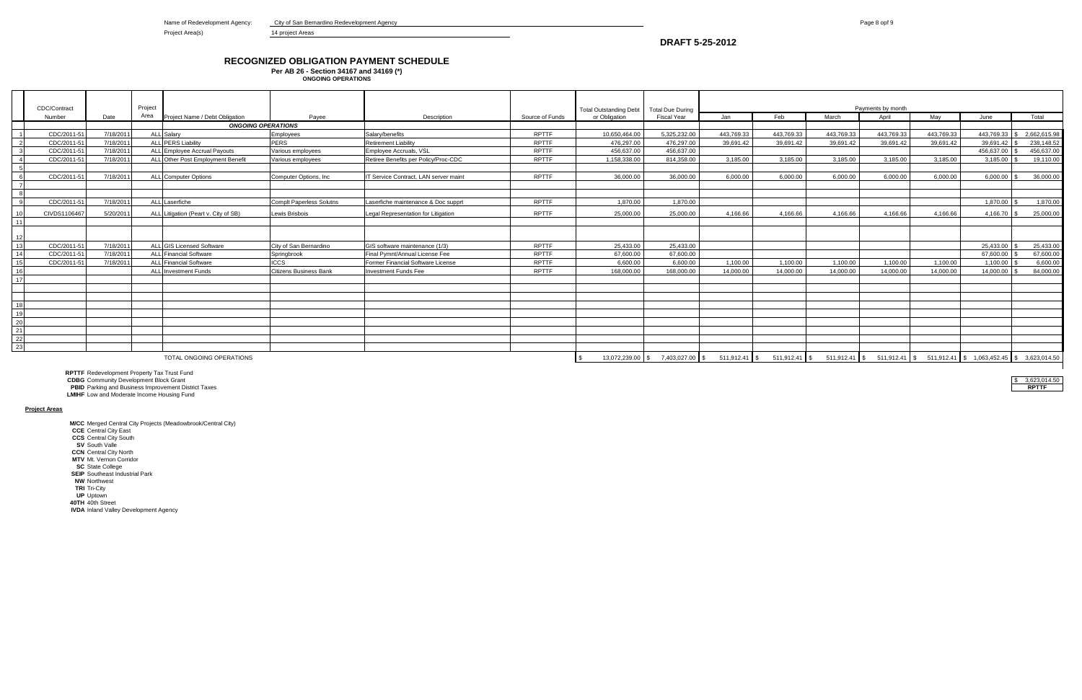Name of Redevelopment Agency: City of San Bernardino Redevelopment Agency **Page 8 opf 9** Page 8 opf 9

Project Area(s) 14 project Areas

### **RECOGNIZED OBLIGATION PAYMENT SCHEDULE**

|                           | CDC/Contract |           |         |                                      |                          |                                       |                 |                               |                         |                   |               |            |            |                                                                                  |            |              |  |
|---------------------------|--------------|-----------|---------|--------------------------------------|--------------------------|---------------------------------------|-----------------|-------------------------------|-------------------------|-------------------|---------------|------------|------------|----------------------------------------------------------------------------------|------------|--------------|--|
|                           |              |           |         |                                      |                          |                                       |                 |                               |                         |                   |               |            |            |                                                                                  |            |              |  |
|                           |              |           | Project |                                      |                          |                                       |                 | <b>Total Outstanding Debt</b> | <b>Total Due During</b> | Payments by month |               |            |            |                                                                                  |            |              |  |
|                           | Number       | Date      | Area    | Project Name / Debt Obligation       | Payee                    | Description                           | Source of Funds | or Obligation                 | Fiscal Year             | Jan               | Feb           | March      | April      | May                                                                              | June       | Total        |  |
| <b>ONGOING OPERATIONS</b> |              |           |         |                                      |                          |                                       |                 |                               |                         |                   |               |            |            |                                                                                  |            |              |  |
|                           | CDC/2011-5   | 7/18/2011 |         | ALL Salarv                           | <b>Employees</b>         | Salarv/benefits                       | <b>RPTTF</b>    | 10,650,464.00                 | 5.325.232.00            | 443.769.33        | 443.769.33    | 443.769.33 | 443.769.33 | 443.769.33                                                                       | 443.769.33 | 2,662,615.98 |  |
|                           | CDC/2011-5   | 7/18/2011 |         | <b>ALL PERS Liability</b>            | <b>PERS</b>              | <b>Retirement Liability</b>           | <b>RPTTF</b>    | 476.297.00                    | 476.297.00              | 39.691.42         | 39.691.42     | 39.691.42  | 39.691.42  | 39.691.42                                                                        | 39.691.42  | 238,148.52   |  |
|                           | CDC/2011-5   | 7/18/2011 |         | ALL Employee Accrual Payouts         | Various emplovees        | Emplovee Accruals, VSL                | <b>RPTTF</b>    | 456.637.00                    | 456.637.00              |                   |               |            |            |                                                                                  | 456.637.00 | 456.637.00   |  |
|                           | CDC/2011-5   | 7/18/2011 |         | ALL Other Post Employment Benefit    | Various employees        | Retiree Benefits per Policy/Proc-CDC  | <b>RPTTF</b>    | 1.158.338.00                  | 814.358.00              | 3.185.00          | 3.185.00      | 3.185.00   | 3.185.00   | 3.185.00                                                                         | 3.185.00   | 19,110.00    |  |
|                           |              |           |         |                                      |                          |                                       |                 |                               |                         |                   |               |            |            |                                                                                  |            |              |  |
|                           | CDC/2011-5   | 7/18/2011 |         | <b>ALL</b> Computer Options          | Computer Options, Inc.   | IT Service Contract. LAN server maint | <b>RPTTF</b>    | 36,000.00                     | 36,000.00               | 6.000.00          | 6.000.00      | 6.000.00   | 6.000.00   | 6.000.00                                                                         | 6.000.00   | 36,000,00    |  |
|                           |              |           |         |                                      |                          |                                       |                 |                               |                         |                   |               |            |            |                                                                                  |            |              |  |
|                           |              |           |         |                                      |                          |                                       |                 |                               |                         |                   |               |            |            |                                                                                  |            |              |  |
|                           | CDC/2011-5   | 7/18/2011 |         | ALL Laserfiche                       | Complt Paperless Solutns | Laserfiche maintenance & Doc supprt   | <b>RPTTF</b>    | 1.870.00                      | 1.870.00                |                   |               |            |            |                                                                                  | 1.870.00   | 1,870.00     |  |
| 10                        | CIVDS110646  | 5/20/2011 |         | ALL Litigation (Peart v. City of SB) | Lewis Brisbois           | Legal Representation for Litigation   | <b>RPTTF</b>    | 25,000.00                     | 25.000.00               | 4.166.66          | 4.166.66      | 4.166.66   | 4.166.66   | 4.166.66                                                                         | 4.166.70   | 25,000.00    |  |
| 11                        |              |           |         |                                      |                          |                                       |                 |                               |                         |                   |               |            |            |                                                                                  |            |              |  |
|                           |              |           |         |                                      |                          |                                       |                 |                               |                         |                   |               |            |            |                                                                                  |            |              |  |
| 12 <sub>1</sub>           |              |           |         |                                      |                          |                                       |                 |                               |                         |                   |               |            |            |                                                                                  |            |              |  |
| 13                        | CDC/2011-5   | 7/18/2011 |         | ALL GIS Licensed Software            | City of San Bernardino   | GIS software maintenance (1/3)        | <b>RPTTF</b>    | 25.433.00                     | 25.433.00               |                   |               |            |            |                                                                                  | 25.433.00  | 25.433.00    |  |
| 14                        | CDC/2011-5   | 7/18/2011 |         | <b>ALL</b> Financial Software        | Springbrook              | Final Pymnt/Annual License Fee        | <b>RPTTF</b>    | 67.600.00                     | 67.600.00               |                   |               |            |            |                                                                                  | 67.600.00  | 67,600.00    |  |
| 15                        | CDC/2011-5   | 7/18/2011 |         | <b>ALL</b> Financial Software        | <b>ICCS</b>              | Former Financial Software License     | <b>RPTTF</b>    | 6,600.00                      | 6,600.00                | 1,100.00          | 1.100.00      | 1.100.00   | 1.100.00   | 1.100.00                                                                         | 1.100.00   | 6,600.00     |  |
| 16                        |              |           |         | <b>ALL Investment Funds</b>          | Citizens Business Bank   | <b>Investment Funds Fee</b>           | <b>RPTTF</b>    | 168,000.00                    | 168,000.00              | 14.000.00         | 14,000.00     | 14.000.00  | 14.000.00  | 14.000.00                                                                        | 14.000.00  | 84.000.00    |  |
| 17                        |              |           |         |                                      |                          |                                       |                 |                               |                         |                   |               |            |            |                                                                                  |            |              |  |
|                           |              |           |         |                                      |                          |                                       |                 |                               |                         |                   |               |            |            |                                                                                  |            |              |  |
|                           |              |           |         |                                      |                          |                                       |                 |                               |                         |                   |               |            |            |                                                                                  |            |              |  |
| 18                        |              |           |         |                                      |                          |                                       |                 |                               |                         |                   |               |            |            |                                                                                  |            |              |  |
| 19                        |              |           |         |                                      |                          |                                       |                 |                               |                         |                   |               |            |            |                                                                                  |            |              |  |
| 20                        |              |           |         |                                      |                          |                                       |                 |                               |                         |                   |               |            |            |                                                                                  |            |              |  |
| 21                        |              |           |         |                                      |                          |                                       |                 |                               |                         |                   |               |            |            |                                                                                  |            |              |  |
| 22                        |              |           |         |                                      |                          |                                       |                 |                               |                         |                   |               |            |            |                                                                                  |            |              |  |
| 23                        |              |           |         |                                      |                          |                                       |                 |                               |                         |                   |               |            |            |                                                                                  |            |              |  |
|                           |              |           |         | TOTAL ONGOING OPERATIONS             |                          |                                       |                 | 13.072.239.00                 | 7,403,027.00 \$         | 511,912.41   \$   | 511,912.41 \$ |            |            | $511,912.41$ \$ $511,912.41$ \$ $511,912.41$ \$ $1,063,452.45$ \$ $3,623,014.50$ |            |              |  |

**Per AB 26 - Section 34167 and 34169 (\*) ONGOING OPERATIONS**

**RPTTF** Redevelopment Property Tax Trust Fund

**CDBG** Community Development Block Grant<br> **CDBG** Community Development Block Grant<br> **PBID** Parking and Business Improvement District Taxes **PBID** Parking and Business Improvement District Taxes

**LMIHF** Low and Moderate Income Housing Fund

#### **Project Areas**

**M/CC** Merged Central City Projects (Meadowbrook/Central City)

**CCE** Central City East

**CCS** Central City South

**SV** South Valle

**CCN** Central City North

**MTV** Mt. Vernon Corridor **SC** State College

**SEIP** Southeast Industrial Park

**NW** Northwest

**TRI** Tri-City

**UP** Uptown

**40TH** 40th Street

**IVDA** Inland Valley Development Agency

**DRAFT 5-25-2012**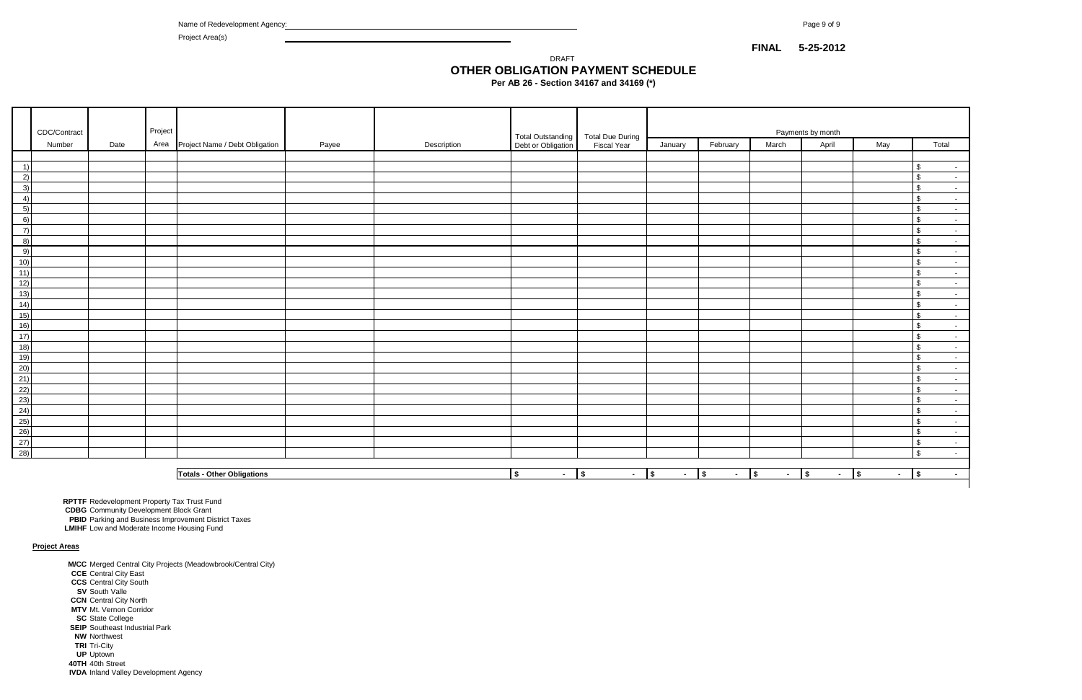Name of Redevelopment Agency: Page 9 of 9

Project Area(s)

**Per AB 26 - Section 34167 and 34169 (\*)**

|                                                                                     | CDC/Contract |      | Project |                                     |       |             |                                                            |                          | Payments by month        |                           |        |                      |                           |                                    |  |
|-------------------------------------------------------------------------------------|--------------|------|---------|-------------------------------------|-------|-------------|------------------------------------------------------------|--------------------------|--------------------------|---------------------------|--------|----------------------|---------------------------|------------------------------------|--|
|                                                                                     | Number       | Date |         | Area Project Name / Debt Obligation | Payee | Description | Total Outstanding   Total Due During<br>Debt or Obligation | <b>Fiscal Year</b>       | January                  | February                  | March  | April                | May                       | Total                              |  |
|                                                                                     |              |      |         |                                     |       |             |                                                            |                          |                          |                           |        |                      |                           |                                    |  |
| $\left( \begin{array}{c} -1 \end{array} \right)$                                    |              |      |         |                                     |       |             |                                                            |                          |                          |                           |        |                      |                           | $\mathfrak{L}$<br>$\sim$           |  |
| 2)                                                                                  |              |      |         |                                     |       |             |                                                            |                          |                          |                           |        |                      |                           | $\mathfrak{S}$<br>$\sim$           |  |
| 3)                                                                                  |              |      |         |                                     |       |             |                                                            |                          |                          |                           |        |                      |                           | $\sqrt{3}$<br>$\sim$               |  |
| 4)                                                                                  |              |      |         |                                     |       |             |                                                            |                          |                          |                           |        |                      |                           | $\sqrt{3}$<br>$\sim$               |  |
| 5)                                                                                  |              |      |         |                                     |       |             |                                                            |                          |                          |                           |        |                      |                           | $\mathbf{s}$<br>$\sim$             |  |
| 6)<br>$\overline{7}$                                                                |              |      |         |                                     |       |             |                                                            |                          |                          |                           |        |                      |                           | $\sqrt{3}$<br>$\sim$               |  |
| 8)                                                                                  |              |      |         |                                     |       |             |                                                            |                          |                          |                           |        |                      |                           | $\sqrt{3}$<br>$\sim$<br>$\sqrt{3}$ |  |
| 9)                                                                                  |              |      |         |                                     |       |             |                                                            |                          |                          |                           |        |                      |                           | $\sim$<br>$\sqrt{3}$<br>$\sim$     |  |
| 10)                                                                                 |              |      |         |                                     |       |             |                                                            |                          |                          |                           |        |                      |                           | $\sqrt{3}$<br>$\sim$ $-$           |  |
| 11)                                                                                 |              |      |         |                                     |       |             |                                                            |                          |                          |                           |        |                      |                           | $\mathfrak{s}$<br>$\sim$           |  |
| 12)                                                                                 |              |      |         |                                     |       |             |                                                            |                          |                          |                           |        |                      |                           | $\sqrt{3}$<br>$\sim$               |  |
| $\overline{13)}$                                                                    |              |      |         |                                     |       |             |                                                            |                          |                          |                           |        |                      |                           | $\sqrt{3}$<br>$\sim$               |  |
| (14)                                                                                |              |      |         |                                     |       |             |                                                            |                          |                          |                           |        |                      |                           | $\sqrt{3}$<br>$\sim$               |  |
| $\overline{15)}$                                                                    |              |      |         |                                     |       |             |                                                            |                          |                          |                           |        |                      |                           | $\sqrt{3}$<br>$\sim$               |  |
| 16)                                                                                 |              |      |         |                                     |       |             |                                                            |                          |                          |                           |        |                      |                           | $\mathfrak{s}$<br>$\sim$           |  |
| $\overline{17)}$                                                                    |              |      |         |                                     |       |             |                                                            |                          |                          |                           |        |                      |                           | $\mathbf{s}$<br>$\sim$             |  |
| $\begin{array}{r} 18) \\ 19) \\ 20) \\ 21) \\ 22) \\ 23) \\ 24) \\ 25) \end{array}$ |              |      |         |                                     |       |             |                                                            |                          |                          |                           |        |                      |                           | $\sqrt{3}$<br>$\sim$               |  |
|                                                                                     |              |      |         |                                     |       |             |                                                            |                          |                          |                           |        |                      |                           | $\sqrt{3}$<br>$\sim$ $-$           |  |
|                                                                                     |              |      |         |                                     |       |             |                                                            |                          |                          |                           |        |                      |                           | $\sqrt{3}$<br>$\sim$               |  |
|                                                                                     |              |      |         |                                     |       |             |                                                            |                          |                          |                           |        |                      |                           | $\sqrt{3}$<br>$\sim$ $-$           |  |
|                                                                                     |              |      |         |                                     |       |             |                                                            |                          |                          |                           |        |                      |                           | $\mathfrak{s}$<br>$\sim$ $-$       |  |
|                                                                                     |              |      |         |                                     |       |             |                                                            |                          |                          |                           |        |                      |                           | $\sqrt{3}$<br>$\sim$               |  |
|                                                                                     |              |      |         |                                     |       |             |                                                            |                          |                          |                           |        |                      |                           | $\sqrt{3}$<br>$\sim$               |  |
|                                                                                     |              |      |         |                                     |       |             |                                                            |                          |                          |                           |        |                      |                           | $\sqrt[6]{3}$<br>$\sim$            |  |
| (26)                                                                                |              |      |         |                                     |       |             |                                                            |                          |                          |                           |        |                      |                           | $\sqrt{3}$<br>$\sim$               |  |
| (27)<br>(28)                                                                        |              |      |         |                                     |       |             |                                                            |                          |                          |                           |        |                      |                           | $\sqrt{3}$<br>$\sim$ $-$           |  |
|                                                                                     |              |      |         |                                     |       |             |                                                            |                          |                          |                           |        |                      |                           | $\sqrt{3}$<br>$\sim$ $-$           |  |
|                                                                                     |              |      |         | <b>Totals - Other Obligations</b>   |       |             | $\sqrt{2}$<br>$\sim$                                       | $\sqrt{ }$<br>$\sim$ $-$ | $\sqrt{ }$<br>$\sim$ $-$ | $\sqrt{ }$<br>$ \sqrt{ }$ | $\sim$ | $\sqrt{ }$<br>$\sim$ | $ \vert$ \$<br>$\sqrt{ }$ | $\sim$                             |  |
|                                                                                     |              |      |         |                                     |       |             |                                                            |                          |                          |                           |        |                      |                           |                                    |  |

**RPTTF** Redevelopment Property Tax Trust Fund

# **OTHER OBLIGATION PAYMENT SCHEDULE** DRAFT

**CDBG** Community Development Block Grant

**LMIHF** Low and Moderate Income Housing Fund

#### **Project Areas**

**M/CC** Merged Central City Projects (Meadowbrook/Central City) **CCE** Central City East **CCS** Central City South **SV** South Valle **CCN** Central City North **MTV** Mt. Vernon Corridor **SC** State College **SEIP** Southeast Industrial Park **NW** Northwest **TRI** Tri-City **UP** Uptown

**40TH** 40th Street

**IVDA** Inland Valley Development Agency

**PBID** Parking and Business Improvement District Taxes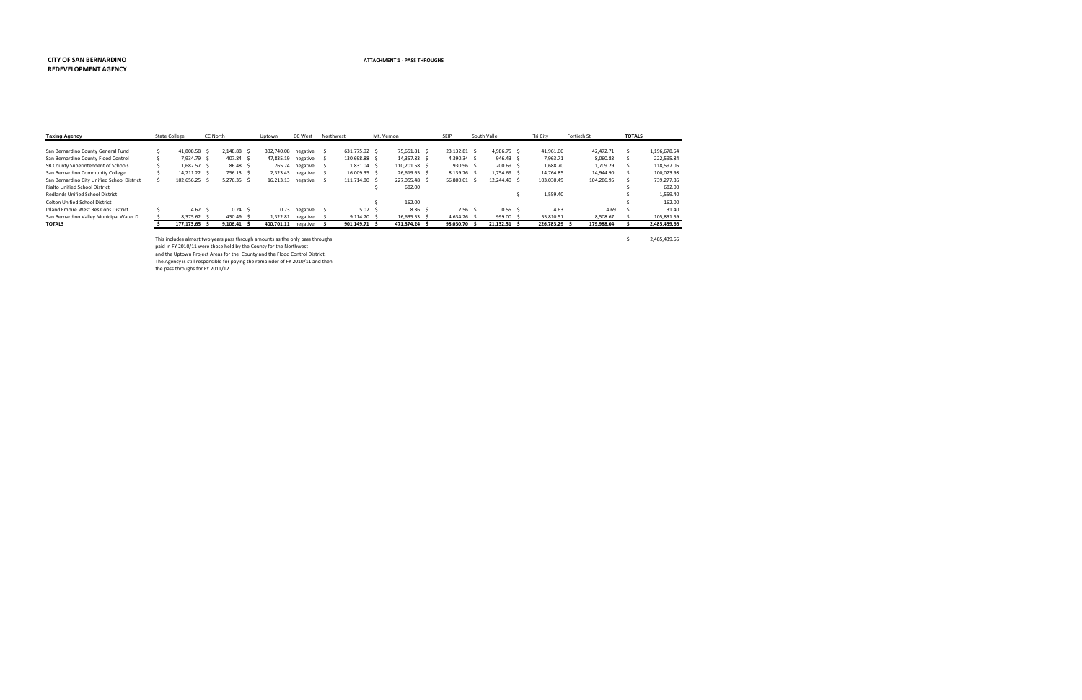#### **CITY OF SAN BERNARDINO REDEVELOPMENT AGENCY**

| <b>Taxing Agency</b>                        | <b>State College</b> | CC North |                 | Uptown              | <b>CC West</b> | Northwest         | Mt. Vernon        | SEIP              | South Valle       | Tri City      |      | Fortieth St | <b>TOTALS</b> |              |
|---------------------------------------------|----------------------|----------|-----------------|---------------------|----------------|-------------------|-------------------|-------------------|-------------------|---------------|------|-------------|---------------|--------------|
|                                             |                      |          |                 |                     |                |                   |                   |                   |                   |               |      |             |               |              |
| San Bernardino County General Fund          | 41,808.58 \$         |          | 2.148.88 \$     | 332,740.08 negative |                | 631.775.92 \$     | 75,651.81 \$      | 23.132.81 \$      | 4,986.75 \$       | 41,961.00     |      | 42.472.71   |               | 1,196,678.54 |
| San Bernardino County Flood Control         | 7.934.79 \$          |          | 407.84 \$       | 47,835.19 negative  |                | 130,698.88 \$     | 14,357.83 \$      | 4.390.34 \$       | $946.43 \quad$ \$ | 7,963.71      |      | 8,060.83    |               | 222,595.84   |
| SB County Superintendent of Schools         | 1,682.57 \$          |          | 86.48 \$        | 265.74              | negative       | 1,831.04 \$       | 110,201.58 \$     | 930.96 \$         | 200.69 \$         | 1,688.70      |      | 1,709.29    |               | 118,597.05   |
| San Bernardino Community College            | 14.711.22 \$         |          | 756.13 \$       | 2,323.43            | negative       | 16,009.35 \$      | 26.619.65 \$      | 8,139.76 \$       | 1.754.69 \$       | 14,764.85     |      | 14.944.90   |               | 100.023.98   |
| San Bernardino City Unified School District | 102,656.25 \$        |          | $5,276.35$ \$   | 16,213.13 negative  |                | 111,714.80 \$     | 227,055.48 \$     | 56,800.01 \$      | 12.244.40 \$      | 103,030.49    |      | 104,286.95  |               | 739.277.86   |
| Rialto Unified School District              |                      |          |                 |                     |                |                   | 682.00            |                   |                   |               |      |             |               | 682.00       |
| Redlands Unified School District            |                      |          |                 |                     |                |                   |                   |                   |                   | 1,559.40      |      |             |               | 1,559.40     |
| <b>Colton Unified School District</b>       |                      |          |                 |                     |                |                   | 162.00            |                   |                   |               |      |             |               | 162.00       |
| Inland Empire West Res Cons District        | 4.62 \$              |          | $0.24 \quad$ \$ | 0.73                | negative       | 5.02 <sub>5</sub> | 8.36 <sub>5</sub> | 2.56 <sub>5</sub> | 0.55 <sub>5</sub> |               | 4.63 | 4.69        |               | 31.40        |
| San Bernardino Valley Municipal Water D     | $8.375.62 \quad$ \$  |          | 430.49 \$       | 1.322.81            | negative       | $9.114.70$ \$     | 16,635.53 \$      | $4.634.26$ \$     | 999.00 \$         | 55,810.51     |      | 8,508.67    |               | 105,831.59   |
| <b>TOTALS</b>                               | 177.173.65 \$        |          | 9.106.41 S      | 400,701.11 negative |                | 901.149.71 \$     | 471.374.24 \$     | 98.030.70 \$      | 21.132.51 \$      | 226.783.29 \$ |      | 179.988.04  |               | 2,485,439.66 |

This includes almost two years pass through amounts as the only pass throughs  $\zeta$  2,485,439.66

paid in FY 2010/11 were those held by the County for the Northwest

and the Uptown Project Areas for the County and the Flood Control District.

The Agency is still responsible for paying the remainder of FY 2010/11 and then the pass throughs for FY 2011/12.

#### **ATTACHMENT 1 - PASS THROUGHS**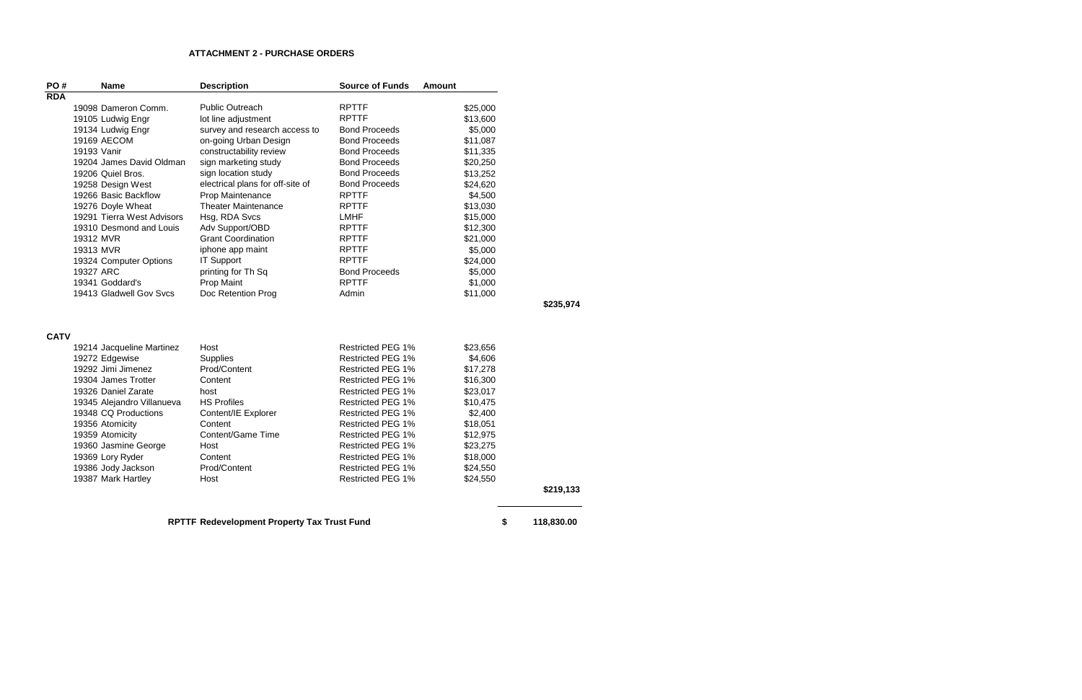| PO#         |                   | <b>Name</b>                | <b>Description</b>                          | <b>Source of Funds</b>   | <b>Amount</b> |                  |
|-------------|-------------------|----------------------------|---------------------------------------------|--------------------------|---------------|------------------|
| <b>RDA</b>  |                   |                            |                                             |                          |               |                  |
|             |                   | 19098 Dameron Comm.        | <b>Public Outreach</b>                      | <b>RPTTF</b>             | \$25,000      |                  |
|             |                   | 19105 Ludwig Engr          | lot line adjustment                         | <b>RPTTF</b>             | \$13,600      |                  |
|             |                   | 19134 Ludwig Engr          | survey and research access to               | <b>Bond Proceeds</b>     | \$5,000       |                  |
|             | 19169 AECOM       |                            | on-going Urban Design                       | <b>Bond Proceeds</b>     | \$11,087      |                  |
|             | 19193 Vanir       |                            | constructability review                     | <b>Bond Proceeds</b>     | \$11,335      |                  |
|             |                   | 19204 James David Oldman   | sign marketing study                        | <b>Bond Proceeds</b>     | \$20,250      |                  |
|             | 19206 Quiel Bros. |                            | sign location study                         | <b>Bond Proceeds</b>     | \$13,252      |                  |
|             |                   | 19258 Design West          | electrical plans for off-site of            | <b>Bond Proceeds</b>     | \$24,620      |                  |
|             |                   | 19266 Basic Backflow       | Prop Maintenance                            | <b>RPTTF</b>             | \$4,500       |                  |
|             |                   | 19276 Doyle Wheat          | <b>Theater Maintenance</b>                  | <b>RPTTF</b>             | \$13,030      |                  |
|             |                   | 19291 Tierra West Advisors | Hsg, RDA Svcs                               | <b>LMHF</b>              | \$15,000      |                  |
|             |                   | 19310 Desmond and Louis    | Adv Support/OBD                             | <b>RPTTF</b>             | \$12,300      |                  |
|             | 19312 MVR         |                            | <b>Grant Coordination</b>                   | <b>RPTTF</b>             | \$21,000      |                  |
|             | 19313 MVR         |                            | iphone app maint                            | <b>RPTTF</b>             | \$5,000       |                  |
|             |                   | 19324 Computer Options     | <b>IT Support</b>                           | <b>RPTTF</b>             | \$24,000      |                  |
|             | 19327 ARC         |                            | printing for Th Sq                          | <b>Bond Proceeds</b>     | \$5,000       |                  |
|             | 19341 Goddard's   |                            | Prop Maint                                  | <b>RPTTF</b>             | \$1,000       |                  |
|             |                   | 19413 Gladwell Gov Svcs    | Doc Retention Prog                          | Admin                    | \$11,000      |                  |
|             |                   |                            |                                             |                          |               | \$235,974        |
| <b>CATV</b> |                   |                            |                                             |                          |               |                  |
|             |                   | 19214 Jacqueline Martinez  | Host                                        | Restricted PEG 1%        | \$23,656      |                  |
|             | 19272 Edgewise    |                            | <b>Supplies</b>                             | <b>Restricted PEG 1%</b> | \$4,606       |                  |
|             |                   | 19292 Jimi Jimenez         | Prod/Content                                | <b>Restricted PEG 1%</b> | \$17,278      |                  |
|             |                   | 19304 James Trotter        | Content                                     | <b>Restricted PEG 1%</b> | \$16,300      |                  |
|             |                   | 19326 Daniel Zarate        | host                                        | <b>Restricted PEG 1%</b> | \$23,017      |                  |
|             |                   | 19345 Alejandro Villanueva | <b>HS Profiles</b>                          | <b>Restricted PEG 1%</b> | \$10,475      |                  |
|             |                   | 19348 CQ Productions       | Content/IE Explorer                         | <b>Restricted PEG 1%</b> | \$2,400       |                  |
|             | 19356 Atomicity   |                            | Content                                     | Restricted PEG 1%        | \$18,051      |                  |
|             | 19359 Atomicity   |                            | Content/Game Time                           | <b>Restricted PEG 1%</b> | \$12,975      |                  |
|             |                   | 19360 Jasmine George       | Host                                        | <b>Restricted PEG 1%</b> | \$23,275      |                  |
|             | 19369 Lory Ryder  |                            | Content                                     | <b>Restricted PEG 1%</b> | \$18,000      |                  |
|             |                   | 19386 Jody Jackson         | Prod/Content                                | <b>Restricted PEG 1%</b> | \$24,550      |                  |
|             |                   | 19387 Mark Hartley         | Host                                        | Restricted PEG 1%        | \$24,550      |                  |
|             |                   |                            |                                             |                          |               | \$219,133        |
|             |                   |                            |                                             |                          |               |                  |
|             |                   |                            | RPTTF Redevelopment Property Tax Trust Fund |                          |               | \$<br>118,830.00 |

# **ATTACHMENT 2 - PURCHASE ORDERS**